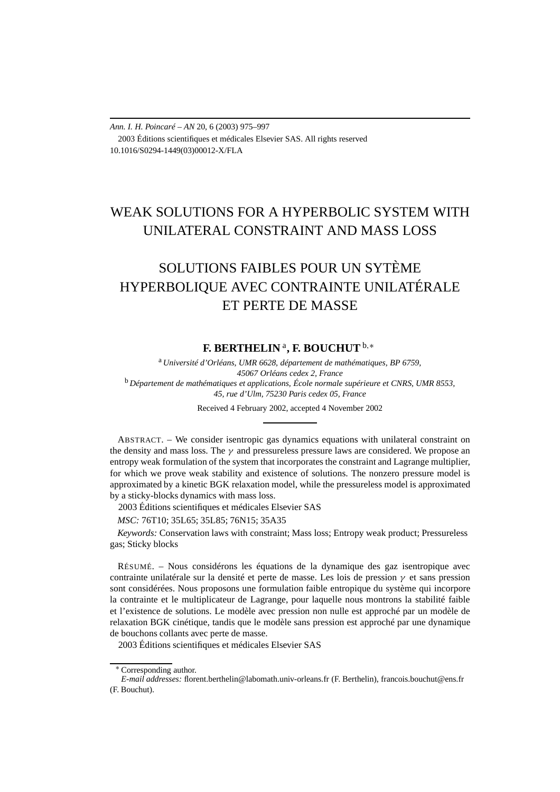# *Ann. I. H. Poincaré – AN* 20, 6 (2003) 975–997 2003 Éditions scientifiques et médicales Elsevier SAS. All rights reserved 10.1016/S0294-1449(03)00012-X/FLA

# WEAK SOLUTIONS FOR A HYPERBOLIC SYSTEM WITH UNILATERAL CONSTRAINT AND MASS LOSS

# SOLUTIONS FAIBLES POUR UN SYTÈME HYPERBOLIQUE AVEC CONTRAINTE UNILATÉRALE ET PERTE DE MASSE

# **F. BERTHELIN** <sup>a</sup>**, F. BOUCHUT** <sup>b</sup>*,*<sup>∗</sup>

<sup>a</sup> *Université d'Orléans, UMR 6628, département de mathématiques, BP 6759, 45067 Orléans cedex 2, France* <sup>b</sup> *Département de mathématiques et applications, École normale supérieure et CNRS, UMR 8553, 45, rue d'Ulm, 75230 Paris cedex 05, France*

Received 4 February 2002, accepted 4 November 2002

ABSTRACT. – We consider isentropic gas dynamics equations with unilateral constraint on the density and mass loss. The  $\gamma$  and pressureless pressure laws are considered. We propose an entropy weak formulation of the system that incorporates the constraint and Lagrange multiplier, for which we prove weak stability and existence of solutions. The nonzero pressure model is approximated by a kinetic BGK relaxation model, while the pressureless model is approximated by a sticky-blocks dynamics with mass loss.

2003 Éditions scientifiques et médicales Elsevier SAS

*MSC:* 76T10; 35L65; 35L85; 76N15; 35A35

*Keywords:* Conservation laws with constraint; Mass loss; Entropy weak product; Pressureless gas; Sticky blocks

RÉSUMÉ. – Nous considérons les équations de la dynamique des gaz isentropique avec contrainte unilatérale sur la densité et perte de masse. Les lois de pression *γ* et sans pression sont considérées. Nous proposons une formulation faible entropique du système qui incorpore la contrainte et le multiplicateur de Lagrange, pour laquelle nous montrons la stabilité faible et l'existence de solutions. Le modèle avec pression non nulle est approché par un modèle de relaxation BGK cinétique, tandis que le modèle sans pression est approché par une dynamique de bouchons collants avec perte de masse.

2003 Éditions scientifiques et médicales Elsevier SAS

<sup>∗</sup> Corresponding author.

*E-mail addresses:* florent.berthelin@labomath.univ-orleans.fr (F. Berthelin), francois.bouchut@ens.fr (F. Bouchut).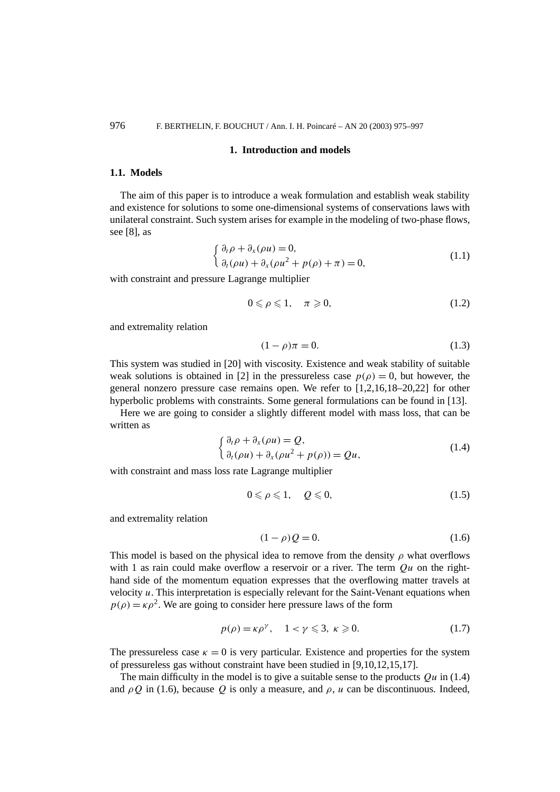#### **1. Introduction and models**

# **1.1. Models**

The aim of this paper is to introduce a weak formulation and establish weak stability and existence for solutions to some one-dimensional systems of conservations laws with unilateral constraint. Such system arises for example in the modeling of two-phase flows, see [8], as

$$
\begin{cases} \partial_t \rho + \partial_x (\rho u) = 0, \\ \partial_t (\rho u) + \partial_x (\rho u^2 + p(\rho) + \pi) = 0, \end{cases}
$$
\n(1.1)

with constraint and pressure Lagrange multiplier

$$
0 \leqslant \rho \leqslant 1, \quad \pi \geqslant 0,\tag{1.2}
$$

and extremality relation

$$
(1 - \rho)\pi = 0.
$$
 (1.3)

This system was studied in [20] with viscosity. Existence and weak stability of suitable weak solutions is obtained in [2] in the pressureless case  $p(\rho) = 0$ , but however, the general nonzero pressure case remains open. We refer to [1,2,16,18–20,22] for other hyperbolic problems with constraints. Some general formulations can be found in [13].

Here we are going to consider a slightly different model with mass loss, that can be written as

$$
\begin{cases} \partial_t \rho + \partial_x (\rho u) = Q, \\ \partial_t (\rho u) + \partial_x (\rho u^2 + p(\rho)) = Qu, \end{cases}
$$
\n(1.4)

with constraint and mass loss rate Lagrange multiplier

$$
0 \leqslant \rho \leqslant 1, \quad Q \leqslant 0,\tag{1.5}
$$

and extremality relation

$$
(1 - \rho)Q = 0.
$$
 (1.6)

This model is based on the physical idea to remove from the density  $\rho$  what overflows with 1 as rain could make overflow a reservoir or a river. The term *Qu* on the righthand side of the momentum equation expresses that the overflowing matter travels at velocity *u*. This interpretation is especially relevant for the Saint-Venant equations when  $p(\rho) = \kappa \rho^2$ . We are going to consider here pressure laws of the form

$$
p(\rho) = \kappa \rho^{\gamma}, \quad 1 < \gamma \leqslant 3, \ \kappa \geqslant 0. \tag{1.7}
$$

The pressureless case  $\kappa = 0$  is very particular. Existence and properties for the system of pressureless gas without constraint have been studied in [9,10,12,15,17].

The main difficulty in the model is to give a suitable sense to the products  $Qu$  in (1.4) and  $\rho O$  in (1.6), because  $Q$  is only a measure, and  $\rho$ ,  $u$  can be discontinuous. Indeed,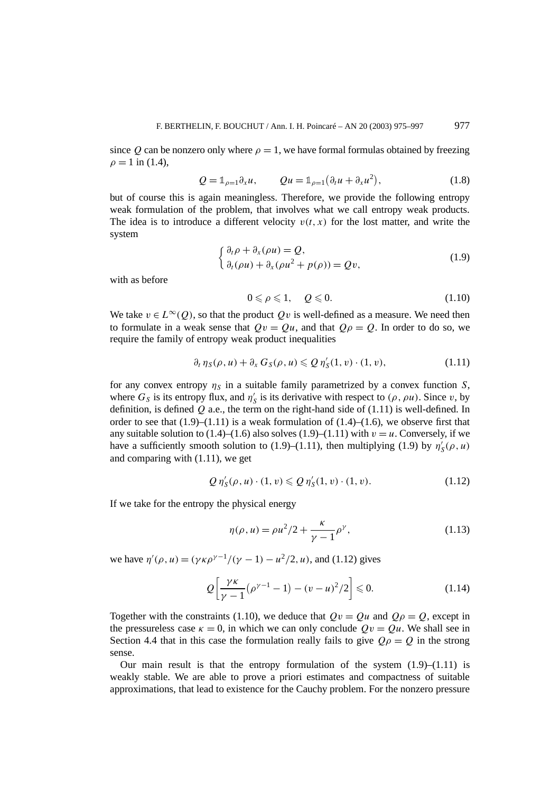since *Q* can be nonzero only where  $\rho = 1$ , we have formal formulas obtained by freezing  $\rho = 1$  in (1.4),

$$
Q = \mathbb{1}_{\rho=1} \partial_x u, \qquad Qu = \mathbb{1}_{\rho=1} \left( \partial_t u + \partial_x u^2 \right), \tag{1.8}
$$

but of course this is again meaningless. Therefore, we provide the following entropy weak formulation of the problem, that involves what we call entropy weak products. The idea is to introduce a different velocity  $v(t, x)$  for the lost matter, and write the system

$$
\begin{cases} \partial_t \rho + \partial_x (\rho u) = Q, \\ \partial_t (\rho u) + \partial_x (\rho u^2 + p(\rho)) = Qv, \end{cases}
$$
\n(1.9)

with as before

$$
0 \leqslant \rho \leqslant 1, \quad Q \leqslant 0. \tag{1.10}
$$

We take  $v \in L^{\infty}(Q)$ , so that the product *Qv* is well-defined as a measure. We need then to formulate in a weak sense that  $Qv = Qu$ , and that  $Q\rho = Q$ . In order to do so, we require the family of entropy weak product inequalities

$$
\partial_t \eta_S(\rho, u) + \partial_x G_S(\rho, u) \leqslant Q \eta'_S(1, v) \cdot (1, v), \tag{1.11}
$$

for any convex entropy  $\eta_S$  in a suitable family parametrized by a convex function *S*, where  $G_S$  is its entropy flux, and  $\eta'_S$  is its derivative with respect to  $(\rho, \rho u)$ . Since *v*, by definition, is defined *Q* a.e., the term on the right-hand side of (1.11) is well-defined. In order to see that  $(1.9)$ – $(1.11)$  is a weak formulation of  $(1.4)$ – $(1.6)$ , we observe first that any suitable solution to  $(1.4)$ – $(1.6)$  also solves  $(1.9)$ – $(1.11)$  with  $v = u$ . Conversely, if we have a sufficiently smooth solution to (1.9)–(1.11), then multiplying (1.9) by  $\eta'_{S}(\rho, u)$ and comparing with (1.11), we get

$$
Q \eta'_{S}(\rho, u) \cdot (1, v) \leqslant Q \eta'_{S}(1, v) \cdot (1, v). \tag{1.12}
$$

If we take for the entropy the physical energy

$$
\eta(\rho, u) = \rho u^2 / 2 + \frac{\kappa}{\gamma - 1} \rho^{\gamma},
$$
\n(1.13)

*we have*  $η'(ρ, u) = (γκρ<sup>γ-1</sup>/(γ − 1) − u<sup>2</sup>/2, u)$ *, and (1.12) gives* 

$$
Q\left[\frac{\gamma\kappa}{\gamma-1}(\rho^{\gamma-1}-1) - (v-u)^2/2\right] \le 0.
$$
 (1.14)

Together with the constraints (1.10), we deduce that  $Qv = Qu$  and  $Q\rho = Q$ , except in the pressureless case  $\kappa = 0$ , in which we can only conclude  $Qv = Qu$ . We shall see in Section 4.4 that in this case the formulation really fails to give  $Q\rho = Q$  in the strong sense.

Our main result is that the entropy formulation of the system  $(1.9)$ – $(1.11)$  is weakly stable. We are able to prove a priori estimates and compactness of suitable approximations, that lead to existence for the Cauchy problem. For the nonzero pressure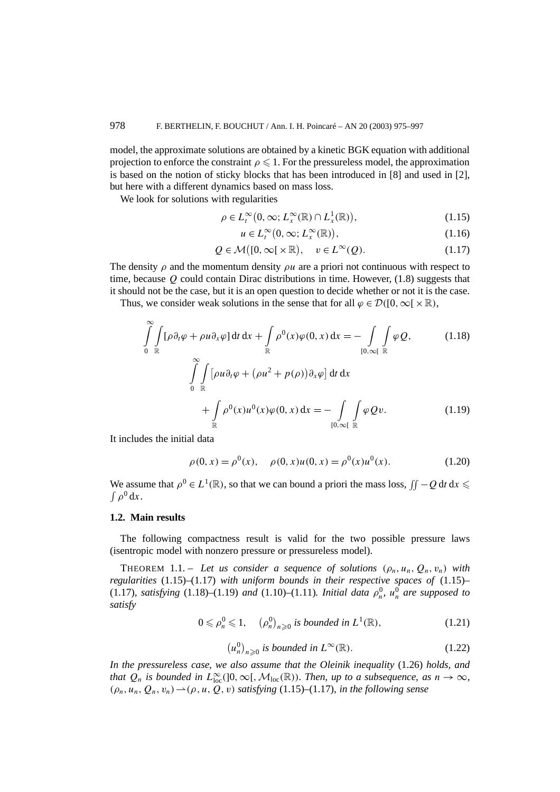model, the approximate solutions are obtained by a kinetic BGK equation with additional projection to enforce the constraint  $\rho \leq 1$ . For the pressureless model, the approximation is based on the notion of sticky blocks that has been introduced in [8] and used in [2], but here with a different dynamics based on mass loss.

We look for solutions with regularities

$$
\rho \in L_t^{\infty} \big( 0, \infty; L_x^{\infty}(\mathbb{R}) \cap L_x^1(\mathbb{R}) \big), \tag{1.15}
$$

$$
u \in L_t^{\infty}(0, \infty; L_x^{\infty}(\mathbb{R})), \tag{1.16}
$$

$$
Q \in \mathcal{M}\big([0,\infty[\times\mathbb{R}), \quad v \in L^{\infty}(Q).\tag{1.17}
$$

The density  $\rho$  and the momentum density  $\rho u$  are a priori not continuous with respect to time, because *Q* could contain Dirac distributions in time. However, (1.8) suggests that it should not be the case, but it is an open question to decide whether or not it is the case.

Thus, we consider weak solutions in the sense that for all  $\varphi \in \mathcal{D}([0,\infty[\times \mathbb{R}),$ 

$$
\int_{0}^{\infty} \int_{\mathbb{R}} [\rho \partial_t \varphi + \rho u \partial_x \varphi] dt dx + \int_{\mathbb{R}} \rho^0(x) \varphi(0, x) dx = - \int_{[0, \infty[} \int_{\mathbb{R}} \varphi Q, \qquad (1.18)
$$

$$
\int_{0}^{\infty} \int_{\mathbb{R}} [\rho u \partial_t \varphi + (\rho u^2 + p(\rho)) \partial_x \varphi] dt dx
$$

$$
+ \int_{\mathbb{R}} \rho^0(x) u^0(x) \varphi(0, x) dx = - \int_{[0, \infty[} \int_{\mathbb{R}} \varphi Qv. \qquad (1.19)
$$

It includes the initial data

$$
\rho(0, x) = \rho^{0}(x), \quad \rho(0, x)u(0, x) = \rho^{0}(x)u^{0}(x).
$$
 (1.20)

We assume that  $\rho^0 \in L^1(\mathbb{R})$ , so that we can bound a priori the mass loss,  $\iint -Q dt dx \le$  $∫ ρ<sup>0</sup> dx.$ 

#### **1.2. Main results**

The following compactness result is valid for the two possible pressure laws (isentropic model with nonzero pressure or pressureless model).

THEOREM 1.1. – Let us consider a sequence of solutions  $(\rho_n, u_n, Q_n, v_n)$  with *regularities* (1.15)–(1.17) *with uniform bounds in their respective spaces of* (1.15)– (1.17)*, satisfying* (1.18)–(1.19) *and* (1.10)–(1.11)*. Initial data*  $\rho_n^0$ *,*  $u_n^0$  *are supposed to satisfy*

$$
0 \leqslant \rho_n^0 \leqslant 1, \quad \left(\rho_n^0\right)_{n \geqslant 0} \text{ is bounded in } L^1(\mathbb{R}),\tag{1.21}
$$

$$
(u_n^0)_{n\geqslant 0} \text{ is bounded in } L^\infty(\mathbb{R}).\tag{1.22}
$$

*In the pressureless case, we also assume that the Oleinik inequality* (1.26) *holds, and that*  $Q_n$  *is bounded in*  $L^{\infty}_{loc}([0,\infty[$ ,  $\mathcal{M}_{loc}(\mathbb{R}))$ *. Then, up to a subsequence, as*  $n \to \infty$ *,*  $(\rho_n, u_n, Q_n, v_n) \rightarrow (\rho, u, Q, v)$  *satisfying* (1.15)–(1.17)*, in the following sense*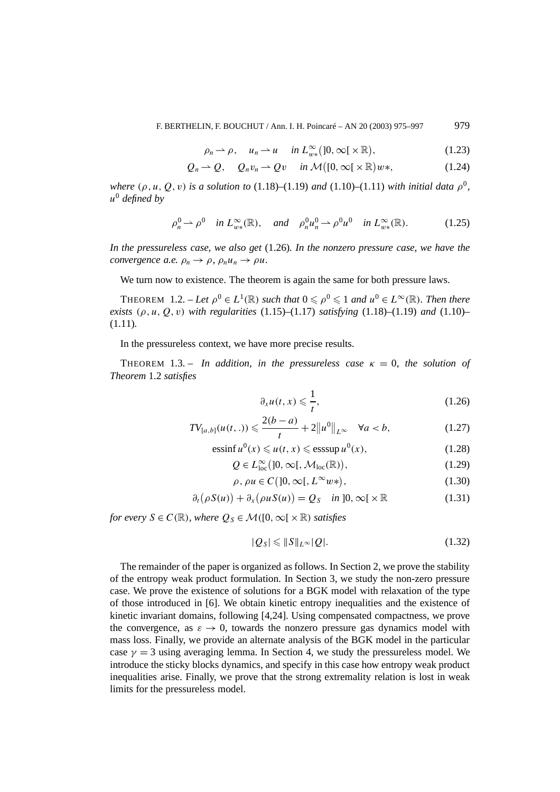$$
\rho_n \to \rho, \quad u_n \to u \quad \text{in } L^{\infty}_{w*}([0,\infty[\times\mathbb{R}), \tag{1.23}
$$

$$
Q_n \rightharpoonup Q, \quad Q_n v_n \rightharpoonup Qv \quad \text{ in } \mathcal{M}\big([0,\infty[\times\mathbb{R})w*,\big] \tag{1.24}
$$

*where*  $(\rho, u, Q, v)$  *is a solution to* (1.18)–(1.19) *and* (1.10)–(1.11) *with initial data*  $\rho^0$ *, u*<sup>0</sup> *defined by*

$$
\rho_n^0 \rightharpoonup \rho^0 \quad \text{in } L^{\infty}_{w*}(\mathbb{R}), \quad \text{and} \quad \rho_n^0 u_n^0 \rightharpoonup \rho^0 u^0 \quad \text{in } L^{\infty}_{w*}(\mathbb{R}). \tag{1.25}
$$

*In the pressureless case, we also get* (1.26)*. In the nonzero pressure case, we have the convergence a.e.*  $\rho_n \to \rho$ ,  $\rho_n u_n \to \rho u$ .

We turn now to existence. The theorem is again the same for both pressure laws.

THEOREM 1.2. – Let  $\rho^0 \in L^1(\mathbb{R})$  such that  $0 \leq \rho^0 \leq 1$  and  $u^0 \in L^\infty(\mathbb{R})$ *. Then there exists*  $(\rho, u, Q, v)$  *with regularities* (1.15)–(1.17) *satisfying* (1.18)–(1.19) *and* (1.10)– (1.11)*.*

In the pressureless context, we have more precise results.

THEOREM 1.3. – *In addition, in the pressureless case*  $\kappa = 0$ *, the solution of Theorem* 1.2 *satisfies*

$$
\partial_x u(t, x) \leqslant \frac{1}{t},\tag{1.26}
$$

$$
TV_{[a,b]}(u(t,.)) \leqslant \frac{2(b-a)}{t} + 2||u^0||_{L^{\infty}} \quad \forall a < b,
$$
 (1.27)

$$
\operatorname{essinf} u^{0}(x) \leq u(t, x) \leq \operatorname{esssup} u^{0}(x), \tag{1.28}
$$

$$
Q \in L^{\infty}_{loc}([0, \infty[, \mathcal{M}_{loc}(\mathbb{R})), \tag{1.29}
$$

$$
\rho, \rho u \in C\big(]0, \infty[, L^{\infty} w*\big),\tag{1.30}
$$

$$
\partial_t (\rho S(u)) + \partial_x (\rho u S(u)) = Q_S \quad \text{in } ]0, \infty[ \times \mathbb{R} ] \tag{1.31}
$$

*for every*  $S \in C(\mathbb{R})$ *, where*  $Q_S \in \mathcal{M}([0, \infty[\times \mathbb{R})$  *satisfies* 

$$
|Q_S| \leqslant \|S\|_{L^\infty}|Q|.\tag{1.32}
$$

The remainder of the paper is organized as follows. In Section 2, we prove the stability of the entropy weak product formulation. In Section 3, we study the non-zero pressure case. We prove the existence of solutions for a BGK model with relaxation of the type of those introduced in [6]. We obtain kinetic entropy inequalities and the existence of kinetic invariant domains, following [4,24]. Using compensated compactness, we prove the convergence, as  $\varepsilon \to 0$ , towards the nonzero pressure gas dynamics model with mass loss. Finally, we provide an alternate analysis of the BGK model in the particular case  $\gamma = 3$  using averaging lemma. In Section 4, we study the pressureless model. We introduce the sticky blocks dynamics, and specify in this case how entropy weak product inequalities arise. Finally, we prove that the strong extremality relation is lost in weak limits for the pressureless model.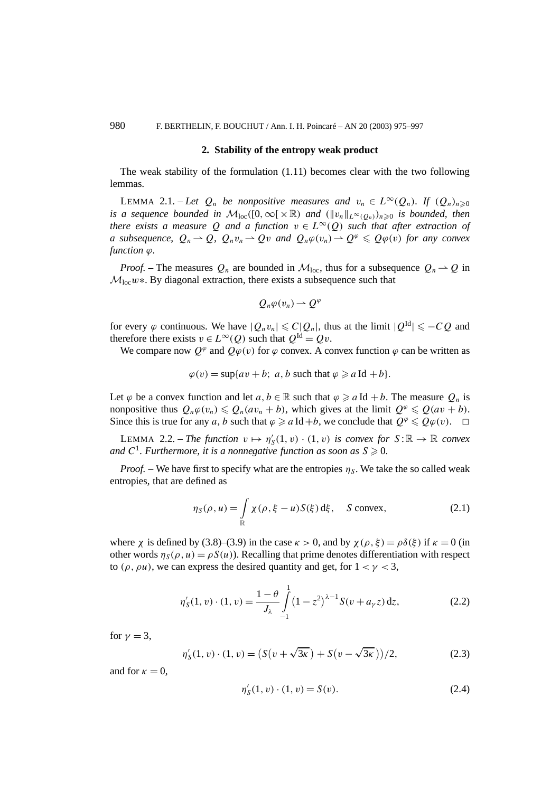#### **2. Stability of the entropy weak product**

The weak stability of the formulation (1.11) becomes clear with the two following lemmas.

LEMMA 2.1. – Let  $Q_n$  be nonpositive measures and  $v_n \in L^{\infty}(Q_n)$ . If  $(Q_n)_{n\geq 0}$ *is a sequence bounded in*  $M_{loc}([0,\infty[\times\mathbb{R})$  *and*  $(\|v_n\|_{L^{\infty}(Q_n)})_{n\geq 0}$  *is bounded, then there exists a measure* Q *and a function*  $v \in L^{\infty}(Q)$  *such that after extraction of a* subsequence,  $Q_n \rightharpoonup Q$ ,  $Q_n v_n \rightharpoonup Qv$  and  $Q_n \varphi(v_n) \rightharpoonup Q^{\varphi} \leq Q \varphi(v)$  for any convex  $function \varphi$ .

*Proof.* – The measures  $Q_n$  are bounded in  $\mathcal{M}_{loc}$ , thus for a subsequence  $Q_n \to Q$  in Mloc*w*∗. By diagonal extraction, there exists a subsequence such that

$$
Q_n\varphi(v_n)\to Q^\varphi
$$

for every  $\varphi$  continuous. We have  $|O_n v_n| \leq C|O_n|$ , thus at the limit  $|O^{\text{Id}}| \leq -CQ$  and therefore there exists  $v \in L^{\infty}(Q)$  such that  $Q^{Id} = Qv$ .

We compare now  $Q^{\varphi}$  and  $Q\varphi(v)$  for  $\varphi$  convex. A convex function  $\varphi$  can be written as

$$
\varphi(v) = \sup\{av + b; \ a, b \text{ such that } \varphi \geq a \text{ Id } + b\}.
$$

Let  $\varphi$  be a convex function and let  $a, b \in \mathbb{R}$  such that  $\varphi \geq a \operatorname{Id} + b$ . The measure  $Q_n$  is nonpositive thus  $Q_n\varphi(v_n) \leq Q_n(av_n + b)$ , which gives at the limit  $Q^{\varphi} \leq Q(av + b)$ . Since this is true for any *a*, *b* such that  $\varphi \ge a \text{ Id } +b$ , we conclude that  $Q^{\varphi} \le Q\varphi(v)$ .  $\Box$ 

LEMMA 2.2. – *The function*  $v \mapsto \eta'_{S}(1, v) \cdot (1, v)$  *is convex for*  $S : \mathbb{R} \to \mathbb{R}$  *convex* and  $C^1$ . Furthermore, it is a nonnegative function as soon as  $S \geqslant 0$ .

*Proof.* – We have first to specify what are the entropies  $\eta_s$ . We take the so called weak entropies, that are defined as

$$
\eta_S(\rho, u) = \int_{\mathbb{R}} \chi(\rho, \xi - u) S(\xi) d\xi, \quad S \text{ convex}, \tag{2.1}
$$

where *χ* is defined by (3.8)–(3.9) in the case  $\kappa > 0$ , and by  $\chi(\rho, \xi) = \rho \delta(\xi)$  if  $\kappa = 0$  (in other words  $\eta_S(\rho, u) = \rho S(u)$ . Recalling that prime denotes differentiation with respect to  $(\rho, \rho u)$ , we can express the desired quantity and get, for  $1 < \gamma < 3$ ,

$$
\eta'_{S}(1, v) \cdot (1, v) = \frac{1 - \theta}{J_{\lambda}} \int_{-1}^{1} (1 - z^2)^{\lambda - 1} S(v + a_{\gamma} z) dz,
$$
 (2.2)

for  $\gamma = 3$ ,

$$
\eta'_{S}(1, v) \cdot (1, v) = (S(v + \sqrt{3\kappa}) + S(v - \sqrt{3\kappa}))/2, \tag{2.3}
$$

and for  $\kappa = 0$ ,

$$
\eta'_{S}(1, v) \cdot (1, v) = S(v). \tag{2.4}
$$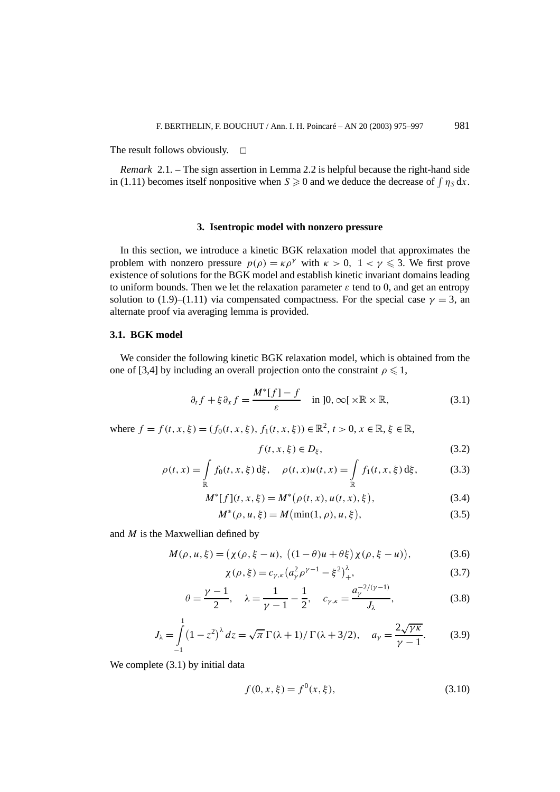The result follows obviously.  $\Box$ 

*Remark* 2.1. – The sign assertion in Lemma 2.2 is helpful because the right-hand side in (1.11) becomes itself nonpositive when  $S \ge 0$  and we deduce the decrease of  $\int \eta_S dx$ .

#### **3. Isentropic model with nonzero pressure**

In this section, we introduce a kinetic BGK relaxation model that approximates the problem with nonzero pressure  $p(\rho) = \kappa \rho^{\gamma}$  with  $\kappa > 0$ ,  $1 < \gamma \leq 3$ . We first prove existence of solutions for the BGK model and establish kinetic invariant domains leading to uniform bounds. Then we let the relaxation parameter  $\varepsilon$  tend to 0, and get an entropy solution to (1.9)–(1.11) via compensated compactness. For the special case  $\gamma = 3$ , an alternate proof via averaging lemma is provided.

### **3.1. BGK model**

We consider the following kinetic BGK relaxation model, which is obtained from the one of [3,4] by including an overall projection onto the constraint  $\rho \leq 1$ ,

$$
\partial_t f + \xi \partial_x f = \frac{M^*[f] - f}{\varepsilon} \quad \text{in } ]0, \infty[ \times \mathbb{R} \times \mathbb{R}, \tag{3.1}
$$

where  $f = f(t, x, \xi) = (f_0(t, x, \xi), f_1(t, x, \xi)) \in \mathbb{R}^2, t > 0, x \in \mathbb{R}, \xi \in \mathbb{R},$ 

$$
f(t, x, \xi) \in D_{\xi},\tag{3.2}
$$

$$
\rho(t,x) = \int_{\mathbb{R}} f_0(t,x,\xi) d\xi, \quad \rho(t,x)u(t,x) = \int_{\mathbb{R}} f_1(t,x,\xi) d\xi,
$$
 (3.3)

$$
M^*[f](t, x, \xi) = M^*(\rho(t, x), u(t, x), \xi), \tag{3.4}
$$

$$
M^*(\rho, u, \xi) = M(\min(1, \rho), u, \xi),
$$
\n(3.5)

and *M* is the Maxwellian defined by

$$
M(\rho, u, \xi) = (\chi(\rho, \xi - u), ((1 - \theta)u + \theta \xi)\chi(\rho, \xi - u)),
$$
\n(3.6)

$$
\chi(\rho, \xi) = c_{\gamma, \kappa} \left( a_{\gamma}^2 \rho^{\gamma - 1} - \xi^2 \right)_+^\lambda, \tag{3.7}
$$

$$
\theta = \frac{\gamma - 1}{2}, \quad \lambda = \frac{1}{\gamma - 1} - \frac{1}{2}, \quad c_{\gamma, \kappa} = \frac{a_{\gamma}^{-2/(\gamma - 1)}}{J_{\lambda}}, \tag{3.8}
$$

$$
J_{\lambda} = \int_{-1}^{1} (1 - z^2)^{\lambda} dz = \sqrt{\pi} \Gamma(\lambda + 1) / \Gamma(\lambda + 3/2), \quad a_{\gamma} = \frac{2\sqrt{\gamma \kappa}}{\gamma - 1}.
$$
 (3.9)

We complete  $(3.1)$  by initial data

$$
f(0, x, \xi) = f^{0}(x, \xi),
$$
\n(3.10)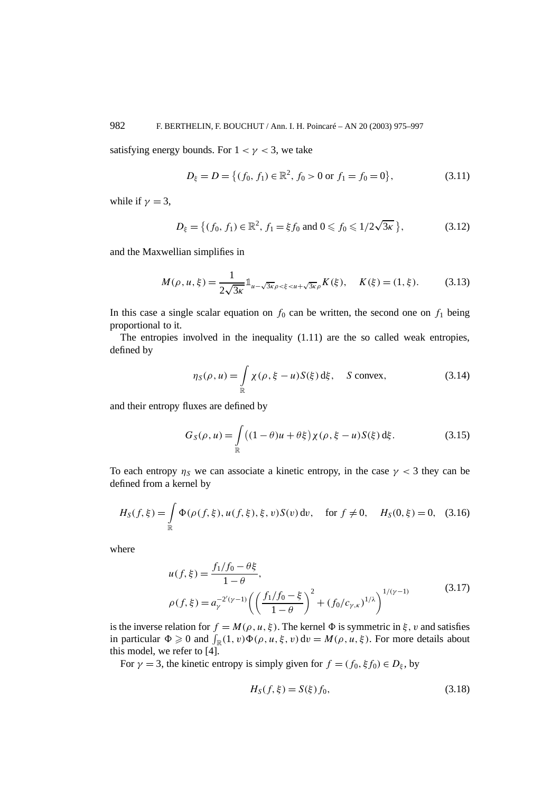satisfying energy bounds. For  $1 < \gamma < 3$ , we take

$$
D_{\xi} = D = \{ (f_0, f_1) \in \mathbb{R}^2, f_0 > 0 \text{ or } f_1 = f_0 = 0 \},
$$
 (3.11)

while if  $\gamma = 3$ ,

$$
D_{\xi} = \left\{ (f_0, f_1) \in \mathbb{R}^2, f_1 = \xi f_0 \text{ and } 0 \leqslant f_0 \leqslant 1/2\sqrt{3\kappa} \right\},\tag{3.12}
$$

and the Maxwellian simplifies in

$$
M(\rho, u, \xi) = \frac{1}{2\sqrt{3\kappa}} 1_{u - \sqrt{3\kappa}\rho < \xi < u + \sqrt{3\kappa}\rho} K(\xi), \quad K(\xi) = (1, \xi). \tag{3.13}
$$

In this case a single scalar equation on  $f_0$  can be written, the second one on  $f_1$  being proportional to it.

The entropies involved in the inequality (1.11) are the so called weak entropies, defined by

$$
\eta_S(\rho, u) = \int_{\mathbb{R}} \chi(\rho, \xi - u) S(\xi) d\xi, \quad S \text{ convex}, \tag{3.14}
$$

and their entropy fluxes are defined by

$$
G_S(\rho, u) = \int_{\mathbb{R}} \left( (1 - \theta)u + \theta \xi \right) \chi(\rho, \xi - u) S(\xi) d\xi.
$$
 (3.15)

To each entropy  $\eta_s$  we can associate a kinetic entropy, in the case  $\gamma < 3$  they can be defined from a kernel by

$$
H_S(f, \xi) = \int_{\mathbb{R}} \Phi(\rho(f, \xi), u(f, \xi), \xi, v) S(v) dv, \quad \text{for } f \neq 0, \quad H_S(0, \xi) = 0,
$$
 (3.16)

where

$$
u(f,\xi) = \frac{f_1/f_0 - \theta\xi}{1 - \theta},
$$
  
\n
$$
\rho(f,\xi) = a_{\gamma}^{-2'(\gamma-1)} \left( \left( \frac{f_1/f_0 - \xi}{1 - \theta} \right)^2 + (f_0/c_{\gamma,\kappa})^{1/\lambda} \right)^{1/(\gamma-1)}
$$
\n(3.17)

is the inverse relation for  $f = M(\rho, u, \xi)$ . The kernel  $\Phi$  is symmetric in  $\xi$ , *v* and satisfies in particular  $\Phi \ge 0$  and  $\int_{\mathbb{R}}(1, v)\Phi(\rho, u, \xi, v) dv = M(\rho, u, \xi)$ . For more details about this model, we refer to [4].

For  $\gamma = 3$ , the kinetic entropy is simply given for  $f = (f_0, \xi f_0) \in D_{\xi}$ , by

$$
H_S(f, \xi) = S(\xi) f_0,
$$
\n(3.18)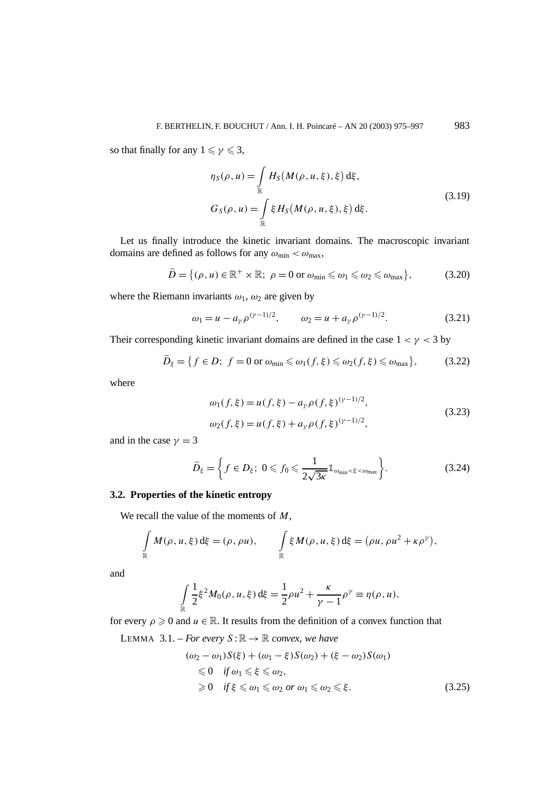so that finally for any  $1 \leq \gamma \leq 3$ ,

$$
\eta_S(\rho, u) = \int_{\mathbb{R}} H_S(M(\rho, u, \xi), \xi) d\xi,
$$
  
\n
$$
G_S(\rho, u) = \int_{\mathbb{R}} \xi H_S(M(\rho, u, \xi), \xi) d\xi.
$$
\n(3.19)

Let us finally introduce the kinetic invariant domains. The macroscopic invariant domains are defined as follows for any  $ω_{\text{min}} < ω_{\text{max}}$ ,

$$
\widetilde{D} = \{(\rho, u) \in \mathbb{R}^+ \times \mathbb{R}; \ \rho = 0 \text{ or } \omega_{\min} \leq \omega_1 \leq \omega_2 \leq \omega_{\max}\},\tag{3.20}
$$

where the Riemann invariants  $\omega_1$ ,  $\omega_2$  are given by

$$
\omega_1 = u - a_\gamma \rho^{(\gamma - 1)/2}, \qquad \omega_2 = u + a_\gamma \rho^{(\gamma - 1)/2}.
$$
 (3.21)

Their corresponding kinetic invariant domains are defined in the case  $1 < \gamma < 3$  by

$$
\widetilde{D}_{\xi} = \{ f \in D; \ f = 0 \text{ or } \omega_{\min} \leq \omega_1(f, \xi) \leq \omega_2(f, \xi) \leq \omega_{\max} \},\tag{3.22}
$$

where

$$
\omega_1(f,\xi) = u(f,\xi) - a_\gamma \rho(f,\xi)^{(\gamma-1)/2},
$$
  
\n
$$
\omega_2(f,\xi) = u(f,\xi) + a_\gamma \rho(f,\xi)^{(\gamma-1)/2},
$$
\n(3.23)

and in the case  $\gamma = 3$ 

$$
\widetilde{D}_{\xi} = \left\{ f \in D_{\xi}; \ 0 \leqslant f_0 \leqslant \frac{1}{2\sqrt{3\kappa}} \mathbb{1}_{\omega_{\min} < \xi < \omega_{\max}} \right\}.
$$
\n(3.24)

# **3.2. Properties of the kinetic entropy**

We recall the value of the moments of *M*,

$$
\int_{\mathbb{R}} M(\rho, u, \xi) d\xi = (\rho, \rho u), \qquad \int_{\mathbb{R}} \xi M(\rho, u, \xi) d\xi = (\rho u, \rho u^2 + \kappa \rho^{\gamma}),
$$

and

$$
\int_{\mathbb{R}} \frac{1}{2} \xi^2 M_0(\rho, u, \xi) d\xi = \frac{1}{2} \rho u^2 + \frac{\kappa}{\gamma - 1} \rho^{\gamma} \equiv \eta(\rho, u),
$$

for every  $\rho \geq 0$  and  $u \in \mathbb{R}$ . It results from the definition of a convex function that

LEMMA 3.1. – *For every*  $S : \mathbb{R} \to \mathbb{R}$  *convex, we have* 

$$
(\omega_2 - \omega_1)S(\xi) + (\omega_1 - \xi)S(\omega_2) + (\xi - \omega_2)S(\omega_1)
$$
  
\n
$$
\leq 0 \quad \text{if } \omega_1 \leq \xi \leq \omega_2,
$$
  
\n
$$
\geq 0 \quad \text{if } \xi \leq \omega_1 \leq \omega_2 \text{ or } \omega_1 \leq \omega_2 \leq \xi.
$$
 (3.25)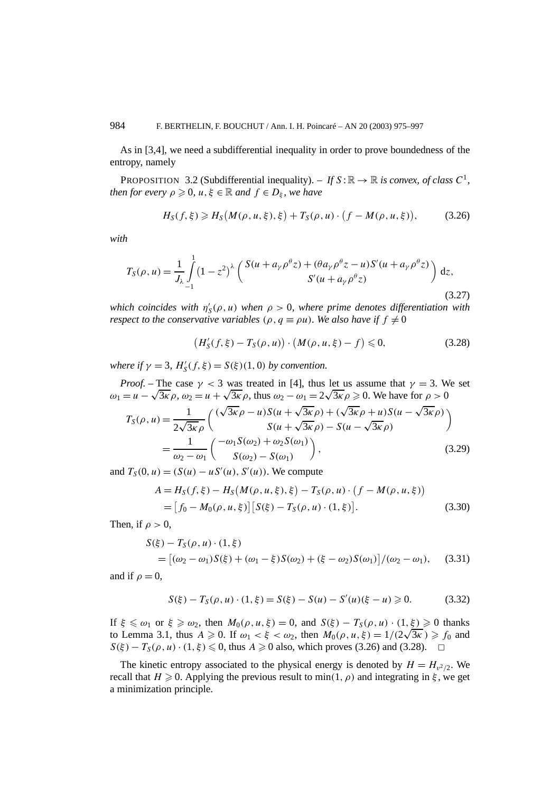As in [3,4], we need a subdifferential inequality in order to prove boundedness of the entropy, namely

PROPOSITION 3.2 (Subdifferential inequality). – If  $S : \mathbb{R} \to \mathbb{R}$  *is convex, of class*  $C^1$ *, then for every*  $\rho \geqslant 0$ ,  $u, \xi \in \mathbb{R}$  *and*  $f \in D_{\xi}$ , we have

$$
H_S(f,\xi) \ge H_S(M(\rho, u, \xi), \xi) + T_S(\rho, u) \cdot (f - M(\rho, u, \xi)), \tag{3.26}
$$

*with*

$$
T_S(\rho, u) = \frac{1}{J_\lambda} \int_{-1}^1 (1 - z^2)^\lambda \left( \frac{S(u + a_\gamma \rho^\theta z) + (\theta a_\gamma \rho^\theta z - u) S'(u + a_\gamma \rho^\theta z)}{S'(u + a_\gamma \rho^\theta z)} \right) dz,
$$
\n(3.27)

*which coincides with*  $\eta'_{\mathcal{S}}(\rho, u)$  *when*  $\rho > 0$ *, where prime denotes differentiation with respect to the conservative variables*  $(\rho, q \equiv \rho u)$ *. We also have if*  $f \neq 0$ 

$$
(H'_{S}(f,\xi) - T_{S}(\rho, u)) \cdot (M(\rho, u, \xi) - f) \leq 0,
$$
\n(3.28)

*where if*  $\gamma = 3$ ,  $H'_{\mathcal{S}}(f, \xi) = S(\xi)(1, 0)$  *by convention.* 

*Proof.* – The case 
$$
\gamma < 3
$$
 was treated in [4], thus let us assume that  $\gamma = 3$ . We set  
\n
$$
\omega_1 = u - \sqrt{3\kappa} \rho, \omega_2 = u + \sqrt{3\kappa} \rho, \text{ thus } \omega_2 - \omega_1 = 2\sqrt{3\kappa} \rho \ge 0. \text{ We have for } \rho > 0
$$
\n
$$
T_S(\rho, u) = \frac{1}{2\sqrt{3\kappa} \rho} \left( \frac{(\sqrt{3\kappa} \rho - u)S(u + \sqrt{3\kappa} \rho) + (\sqrt{3\kappa} \rho + u)S(u - \sqrt{3\kappa} \rho)}{S(u + \sqrt{3\kappa} \rho) - S(u - \sqrt{3\kappa} \rho)} \right)
$$
\n
$$
= \frac{1}{\omega_2 - \omega_1} \left( \frac{-\omega_1 S(\omega_2) + \omega_2 S(\omega_1)}{S(\omega_2) - S(\omega_1)} \right), \tag{3.29}
$$

and  $T_S(0, u) = (S(u) - uS'(u), S'(u))$ . We compute

$$
A = H_S(f, \xi) - H_S(M(\rho, u, \xi), \xi) - T_S(\rho, u) \cdot (f - M(\rho, u, \xi))
$$
  
=  $[f_0 - M_0(\rho, u, \xi)] [S(\xi) - T_S(\rho, u) \cdot (1, \xi)].$  (3.30)

Then, if  $\rho > 0$ ,

$$
S(\xi) - T_S(\rho, u) \cdot (1, \xi)
$$
  
=  $[(\omega_2 - \omega_1)S(\xi) + (\omega_1 - \xi)S(\omega_2) + (\xi - \omega_2)S(\omega_1)]/(\omega_2 - \omega_1),$  (3.31)

and if  $\rho = 0$ ,

$$
S(\xi) - T_S(\rho, u) \cdot (1, \xi) = S(\xi) - S(u) - S'(u)(\xi - u) \ge 0.
$$
 (3.32)

If  $\xi \leq \omega_1$  or  $\xi \geq \omega_2$ , then  $M_0(\rho, u, \xi) = 0$ , and  $S(\xi) - T_S(\rho, u) \cdot (1, \xi) \geq 0$  thanks It  $\xi \le \omega_1$  or  $\xi \ge \omega_2$ , then  $M_0(\rho, u, \xi) = 0$ , and  $S(\xi) - I_S(\rho, u) \cdot (1, \xi) \ge 0$  thanks<br>to Lemma 3.1, thus  $A \ge 0$ . If  $\omega_1 < \xi < \omega_2$ , then  $M_0(\rho, u, \xi) = 1/(2\sqrt{3\kappa}) \ge f_0$  and *S*( $\xi$ ) − *T<sub>S</sub>*( $\rho$ ,  $u$ ) · (1,  $\xi$ )  $\leq$  0, thus *A*  $\geq$  0 also, which proves (3.26) and (3.28).  $\Box$ 

The kinetic entropy associated to the physical energy is denoted by  $H = H_{n^2/2}$ . We recall that  $H \ge 0$ . Applying the previous result to min(1,  $\rho$ ) and integrating in  $\xi$ , we get a minimization principle.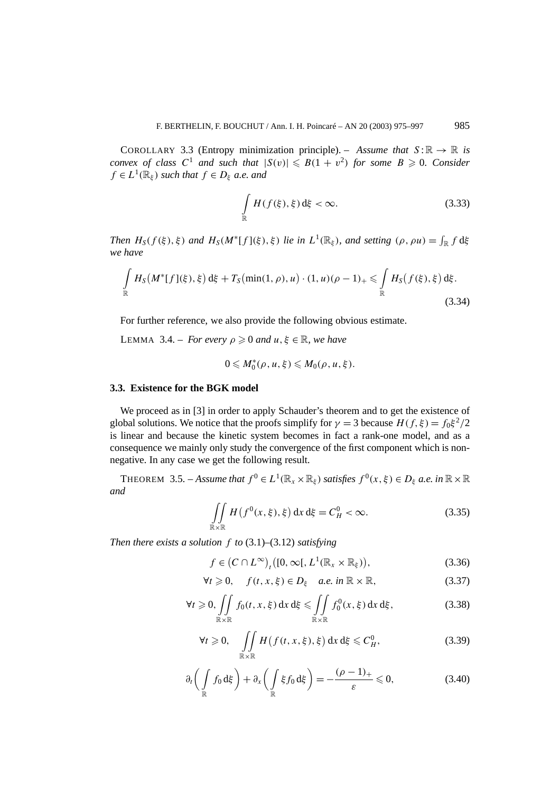COROLLARY 3.3 (Entropy minimization principle). – *Assume that*  $S: \mathbb{R} \to \mathbb{R}$  *is convex of class*  $C^1$  *and such that*  $|S(v)| \leq B(1 + v^2)$  *for some*  $B \geq 0$ *. Consider*  $f \in L^1(\mathbb{R}_\xi)$  *such that*  $f \in D_\xi$  *a.e. and* 

$$
\int_{\mathbb{R}} H(f(\xi), \xi) \, d\xi < \infty. \tag{3.33}
$$

*Then*  $H_S(f(\xi), \xi)$  *and*  $H_S(M^*[f](\xi), \xi)$  *lie in*  $L^1(\mathbb{R}_{\xi})$ *, and setting*  $(\rho, \rho u) = \int_{\mathbb{R}} f d\xi$ *we have*

$$
\int_{\mathbb{R}} H_S(M^*[f](\xi), \xi) d\xi + T_S(\min(1, \rho), u) \cdot (1, u)(\rho - 1)_+ \leq \int_{\mathbb{R}} H_S(f(\xi), \xi) d\xi.
$$
\n(3.34)

For further reference, we also provide the following obvious estimate.

LEMMA 3.4. – *For every*  $\rho \geq 0$  *and*  $u, \xi \in \mathbb{R}$ *, we have* 

$$
0\leqslant M_0^*(\rho,u,\xi)\leqslant M_0(\rho,u,\xi).
$$

#### **3.3. Existence for the BGK model**

We proceed as in [3] in order to apply Schauder's theorem and to get the existence of global solutions. We notice that the proofs simplify for  $\gamma = 3$  because  $H(f, \xi) = f_0 \xi^2/2$ is linear and because the kinetic system becomes in fact a rank-one model, and as a consequence we mainly only study the convergence of the first component which is nonnegative. In any case we get the following result.

THEOREM 3.5. – *Assume that*  $f^0 \in L^1(\mathbb{R}_x \times \mathbb{R}_\xi)$  *satisfies*  $f^0(x, \xi) \in D_\xi$  *a.e. in*  $\mathbb{R} \times \mathbb{R}$ *and*

$$
\iint\limits_{\mathbb{R}\times\mathbb{R}} H\left(f^{0}(x,\xi),\xi\right) dx d\xi = C_{H}^{0} < \infty.
$$
 (3.35)

*Then there exists a solution f to* (3.1)–(3.12) *satisfying*

$$
f \in (C \cap L^{\infty})_t([0, \infty[, L^1(\mathbb{R}_x \times \mathbb{R}_\xi)), \tag{3.36}
$$

$$
\forall t \geq 0, \quad f(t, x, \xi) \in D_{\xi} \quad a.e. \text{ in } \mathbb{R} \times \mathbb{R}, \tag{3.37}
$$

$$
\forall t \geqslant 0, \iint\limits_{\mathbb{R} \times \mathbb{R}} f_0(t, x, \xi) \, dx \, d\xi \leqslant \iint\limits_{\mathbb{R} \times \mathbb{R}} f_0^0(x, \xi) \, dx \, d\xi, \tag{3.38}
$$

$$
\forall t \geq 0, \quad \iint\limits_{\mathbb{R} \times \mathbb{R}} H\left(f(t, x, \xi), \xi\right) dx d\xi \leq C_H^0,
$$
\n(3.39)

$$
\partial_t \left( \int_{\mathbb{R}} f_0 \, d\xi \right) + \partial_x \left( \int_{\mathbb{R}} \xi f_0 \, d\xi \right) = -\frac{(\rho - 1)_+}{\varepsilon} \leqslant 0, \tag{3.40}
$$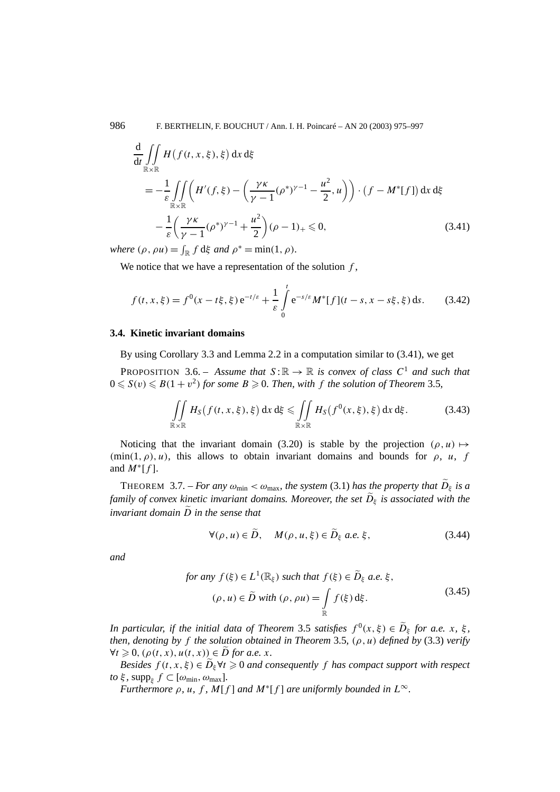$$
\frac{d}{dt} \iint_{\mathbb{R} \times \mathbb{R}} H(f(t, x, \xi), \xi) dx d\xi
$$
\n
$$
= -\frac{1}{\varepsilon} \iint_{\mathbb{R} \times \mathbb{R}} \left( H'(f, \xi) - \left( \frac{\gamma \kappa}{\gamma - 1} (\rho^*)^{\gamma - 1} - \frac{u^2}{2}, u \right) \right) \cdot (f - M^*[f]) dx d\xi
$$
\n
$$
- \frac{1}{\varepsilon} \left( \frac{\gamma \kappa}{\gamma - 1} (\rho^*)^{\gamma - 1} + \frac{u^2}{2} \right) (\rho - 1)_+ \leq 0,
$$
\n(3.41)

*where*  $(\rho, \rho u) = \int_{\mathbb{R}} f d\xi$  *and*  $\rho^* = \min(1, \rho)$ *.* 

We notice that we have a representation of the solution *f* ,

$$
f(t, x, \xi) = f^{0}(x - t\xi, \xi) e^{-t/\varepsilon} + \frac{1}{\varepsilon} \int_{0}^{t} e^{-s/\varepsilon} M^{*}[f](t - s, x - s\xi, \xi) ds.
$$
 (3.42)

#### **3.4. Kinetic invariant domains**

By using Corollary 3.3 and Lemma 2.2 in a computation similar to (3.41), we get

**PROPOSITION** 3.6. – Assume that  $S: \mathbb{R} \to \mathbb{R}$  is convex of class  $C^1$  and such that  $0 \leqslant S(v) \leqslant B(1+v^2)$  for some  $B \geqslant 0$ . Then, with f the solution of Theorem 3.5,

$$
\iint\limits_{\mathbb{R}\times\mathbb{R}} H_S(f(t,x,\xi),\xi) dx d\xi \le \iint\limits_{\mathbb{R}\times\mathbb{R}} H_S(f^0(x,\xi),\xi) dx d\xi.
$$
 (3.43)

Noticing that the invariant domain (3.20) is stable by the projection  $(\rho, u) \mapsto$  $(\min(1, \rho), u)$ , this allows to obtain invariant domains and bounds for  $\rho$ , *u*, *f* and  $M^*[f]$ .

THEOREM 3.7. – *For any*  $\omega_{\text{min}} < \omega_{\text{max}}$ *, the system* (3.1) *has the property that*  $\widetilde{D}_{\xi}$  *is a family of convex kinetic invariant domains. Moreover, the set*  $\tilde{D}_{\xi}$  *is associated with the invariant domain D in the sense that*

$$
\forall (\rho, u) \in \tilde{D}, \quad M(\rho, u, \xi) \in \tilde{D}_{\xi} \text{ a.e. } \xi,
$$
\n(3.44)

*and*

for any 
$$
f(\xi) \in L^1(\mathbb{R}_{\xi})
$$
 such that  $f(\xi) \in \widetilde{D}_{\xi}$  a.e.  $\xi$ ,  
\n $(\rho, u) \in \widetilde{D}$  with  $(\rho, \rho u) = \int_{\mathbb{R}} f(\xi) d\xi$ . (3.45)

*In particular, if the initial data of Theorem 3.5 <i>satisfies*  $f^{0}(x, \xi) \in D_{\xi}$  *for a.e. x*,  $\xi$ *, then, denoting by f the solution obtained in Theorem* 3.5*, (ρ , u) defined by* (3.3) *verify*  $\forall t \geq 0$ ,  $(\rho(t, x), u(t, x)) \in \overline{D}$  *for a.e. x.* 

*Besides*  $f(t, x, \xi) \in D_{\xi} \forall t \geq 0$  *and consequently*  $f$  *has compact support with respect to*  $\xi$ *,* supp<sub>*ξ</sub>*  $f \subset [\omega_{\min}, \omega_{\max}]$ *.*</sub>

*Furthermore*  $\rho$ *, u, f, M*[*f*] *and*  $M^*[f]$  *are uniformly bounded in*  $L^\infty$ *.*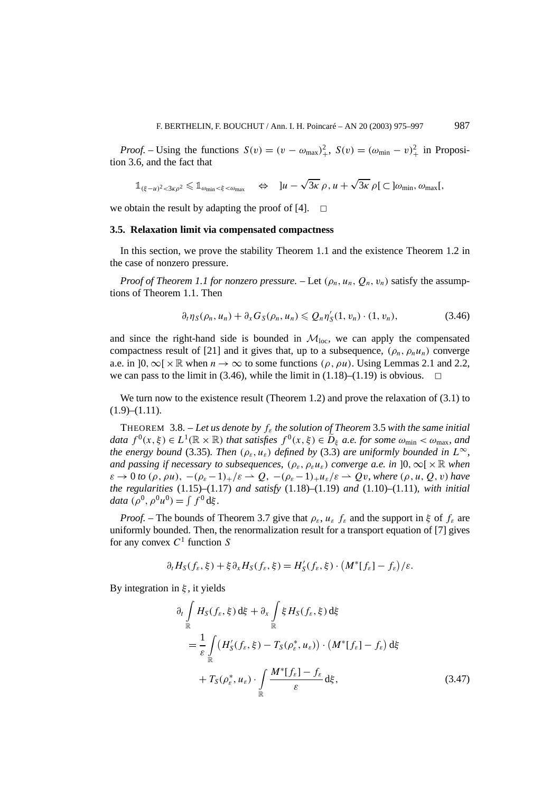*Proof.* – Using the functions  $S(v) = (v - \omega_{\text{max}})^2$ ,  $S(v) = (\omega_{\text{min}} - v)^2$  in Proposition 3.6, and the fact that

$$
\mathbb{1}_{(\xi-u)^2<3\kappa\rho^2}\leq \mathbb{1}_{\omega_{\min}<\xi<\omega_{\max}} \quad \Leftrightarrow \quad \left]u-\sqrt{3\kappa}\,\rho,u+\sqrt{3\kappa}\,\rho\right[\subset\left]\omega_{\min},\,\omega_{\max}\right[,
$$

we obtain the result by adapting the proof of [4].  $\Box$ 

#### **3.5. Relaxation limit via compensated compactness**

In this section, we prove the stability Theorem 1.1 and the existence Theorem 1.2 in the case of nonzero pressure.

*Proof of Theorem 1.1 for nonzero pressure.* – Let  $(\rho_n, u_n, Q_n, v_n)$  satisfy the assumptions of Theorem 1.1. Then

$$
\partial_t \eta_S(\rho_n, u_n) + \partial_x G_S(\rho_n, u_n) \leqslant Q_n \eta'_S(1, v_n) \cdot (1, v_n), \tag{3.46}
$$

and since the right-hand side is bounded in  $\mathcal{M}_{loc}$ , we can apply the compensated compactness result of [21] and it gives that, up to a subsequence,  $(\rho_n, \rho_n u_n)$  converge a.e. in  $]0, \infty[ \times \mathbb{R}$  when  $n \to \infty$  to some functions  $(\rho, \rho u)$ . Using Lemmas 2.1 and 2.2, we can pass to the limit in (3.46), while the limit in (1.18)–(1.19) is obvious.  $\Box$ 

We turn now to the existence result (Theorem 1.2) and prove the relaxation of (3.1) to  $(1.9)$ – $(1.11)$ .

THEOREM 3.8. – *Let us denote by fε the solution of Theorem* 3.5 *with the same initial data*  $f^{0}(x, \xi) \in L^{1}(\mathbb{R} \times \mathbb{R})$  *that satisfies*  $f^{0}(x, \xi) \in \widetilde{D}_{\xi}$  *a.e. for some*  $\omega_{\min} < \omega_{\max}$ *, and the energy bound* (3.35)*. Then*  $(\rho_{\varepsilon}, u_{\varepsilon})$  *defined by* (3.3) *are uniformly bounded in*  $L^{\infty}$ *, and passing if necessary to subsequences,*  $(\rho_{\varepsilon}, \rho_{\varepsilon} u_{\varepsilon})$  *converge a.e. in* ]0,  $\infty$ [ × R *when*  $\varepsilon \to 0$  *to*  $(\rho, \rho u)$ ,  $-(\rho_{\varepsilon}-1)_+/\varepsilon \to Q$ ,  $-(\rho_{\varepsilon}-1)_+u_{\varepsilon}/\varepsilon \to Qv$ , where  $(\rho, u, Q, v)$  have *the regularities* (1.15)–(1.17) *and satisfy* (1.18)–(1.19) *and* (1.10)–(1.11)*, with initial data*  $(\rho^0, \rho^0 u^0) = \int f^0 d\xi$ .

*Proof.* – The bounds of Theorem 3.7 give that  $\rho_{\varepsilon}$ ,  $u_{\varepsilon}$   $f_{\varepsilon}$  and the support in  $\xi$  of  $f_{\varepsilon}$  are uniformly bounded. Then, the renormalization result for a transport equation of [7] gives for any convex  $C<sup>1</sup>$  function *S* 

$$
\partial_t H_S(f_{\varepsilon}, \xi) + \xi \partial_x H_S(f_{\varepsilon}, \xi) = H'_S(f_{\varepsilon}, \xi) \cdot \left( M^*[f_{\varepsilon}] - f_{\varepsilon} \right) / \varepsilon.
$$

By integration in *ξ* , it yields

$$
\partial_t \int_{\mathbb{R}} H_S(f_{\varepsilon}, \xi) d\xi + \partial_x \int_{\mathbb{R}} \xi H_S(f_{\varepsilon}, \xi) d\xi
$$
  
= 
$$
\frac{1}{\varepsilon} \int_{\mathbb{R}} \left( H'_S(f_{\varepsilon}, \xi) - T_S(\rho_{\varepsilon}^*, u_{\varepsilon}) \right) \cdot \left( M^*[f_{\varepsilon}] - f_{\varepsilon} \right) d\xi
$$
  
+ 
$$
T_S(\rho_{\varepsilon}^*, u_{\varepsilon}) \cdot \int_{\mathbb{R}} \frac{M^*[f_{\varepsilon}] - f_{\varepsilon}}{\varepsilon} d\xi,
$$
 (3.47)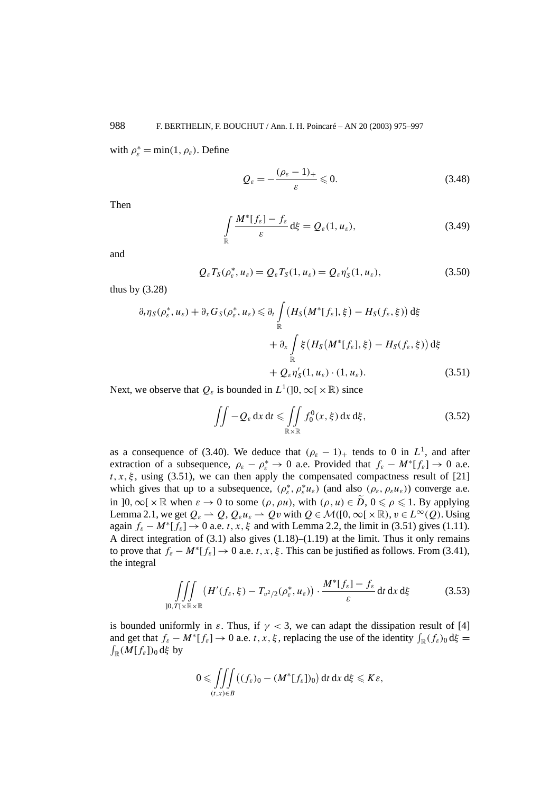with  $\rho_{\varepsilon}^* = \min(1, \rho_{\varepsilon})$ . Define

$$
Q_{\varepsilon} = -\frac{(\rho_{\varepsilon} - 1)_{+}}{\varepsilon} \leqslant 0. \tag{3.48}
$$

Then

$$
\int_{\mathbb{R}} \frac{M^*[f_{\varepsilon}] - f_{\varepsilon}}{\varepsilon} d\xi = Q_{\varepsilon}(1, u_{\varepsilon}),
$$
\n(3.49)

and

$$
Q_{\varepsilon}T_S(\rho_{\varepsilon}^*, u_{\varepsilon}) = Q_{\varepsilon}T_S(1, u_{\varepsilon}) = Q_{\varepsilon}\eta'_S(1, u_{\varepsilon}),
$$
\n(3.50)

thus by (3.28)

$$
\partial_t \eta_S(\rho_\varepsilon^*, u_\varepsilon) + \partial_x G_S(\rho_\varepsilon^*, u_\varepsilon) \leq \partial_t \int\limits_{\mathbb{R}} \left( H_S\big(M^*[f_\varepsilon], \xi\big) - H_S(f_\varepsilon, \xi)\right) d\xi
$$
  
+ 
$$
\partial_x \int\limits_{\mathbb{R}} \xi \left( H_S\big(M^*[f_\varepsilon], \xi\big) - H_S(f_\varepsilon, \xi)\right) d\xi
$$
  
+ 
$$
Q_\varepsilon \eta'_S(1, u_\varepsilon) \cdot (1, u_\varepsilon).
$$
 (3.51)

Next, we observe that  $Q_{\varepsilon}$  is bounded in  $L^1(]0, \infty[ \times \mathbb{R})$  since

$$
\iint -Q_{\varepsilon} dx dt \leqslant \iint_{\mathbb{R} \times \mathbb{R}} f_0^0(x, \xi) dx d\xi, \qquad (3.52)
$$

as a consequence of (3.40). We deduce that  $(\rho_{\varepsilon} - 1)$ <sub>+</sub> tends to 0 in  $L^1$ , and after extraction of a subsequence,  $\rho_{\varepsilon} - \rho_{\varepsilon}^* \to 0$  a.e. Provided that  $f_{\varepsilon} - M^*[f_{\varepsilon}] \to 0$  a.e.  $t, x, \xi$ , using (3.51), we can then apply the compensated compactness result of [21] which gives that up to a subsequence,  $(\rho_{\varepsilon}^*, \rho_{\varepsilon}^* u_{\varepsilon})$  (and also  $(\rho_{\varepsilon}, \rho_{\varepsilon} u_{\varepsilon})$ ) converge a.e. in  $]0,\infty[\times\mathbb{R}$  when  $\varepsilon \to 0$  to some  $(\rho, \rho u)$ , with  $(\rho, u) \in \tilde{D}$ ,  $0 \leq \rho \leq 1$ . By applying Lemma 2.1, we get  $Q_{\varepsilon} \to Q$ ,  $Q_{\varepsilon} u_{\varepsilon} \to Qv$  with  $Q \in \mathcal{M}([0,\infty[\times\mathbb{R}), v \in L^{\infty}(Q))$ . Using again  $f_{\varepsilon} - M^* [f_{\varepsilon}] \to 0$  a.e. *t*, *x*,  $\xi$  and with Lemma 2.2, the limit in (3.51) gives (1.11). A direct integration of  $(3.1)$  also gives  $(1.18)$ – $(1.19)$  at the limit. Thus it only remains to prove that  $f_{\varepsilon} - M^* [f_{\varepsilon}] \to 0$  a.e. *t*, *x*, *ξ*. This can be justified as follows. From (3.41), the integral

$$
\iiint\limits_{]0,T[\times\mathbb{R}\times\mathbb{R}} (H'(f_{\varepsilon},\xi)-T_{\nu^2/2}(\rho_{\varepsilon}^*,u_{\varepsilon}))\cdot\frac{M^*[f_{\varepsilon}]-f_{\varepsilon}}{\varepsilon} dt dx d\xi
$$
 (3.53)

is bounded uniformly in  $\varepsilon$ . Thus, if  $\gamma$  < 3, we can adapt the dissipation result of [4] and get that  $f_{\varepsilon} - M^*[f_{\varepsilon}] \to 0$  a.e. *t*, *x*, *ξ*, replacing the use of the identity  $\int_{\mathbb{R}} (f_{\varepsilon})_0 d\xi = \int_{\mathbb{R}} (M[f_{\varepsilon}])_0 d\xi$  by  $\int_{\mathbb{R}} (M[f_{\varepsilon}])_0 d\xi$  by

$$
0 \leqslant \iiint\limits_{(t,x)\in B} \bigl((f_{\varepsilon})_0 - (M^*[f_{\varepsilon}])_0\bigr) dt dx d\xi \leqslant K\varepsilon,
$$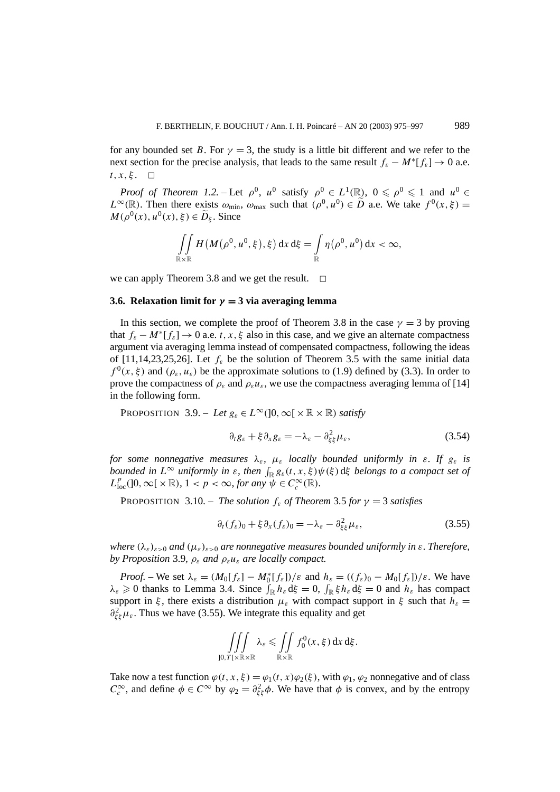for any bounded set *B*. For  $\gamma = 3$ , the study is a little bit different and we refer to the next section for the precise analysis, that leads to the same result  $f_{\varepsilon} - M^* [f_{\varepsilon}] \to 0$  a.e.  $t, x, \xi$ .  $\Box$ 

*Proof of Theorem 1.2.* – Let  $\rho^0$ ,  $u^0$  satisfy  $\rho^0 \in L^1(\mathbb{R})$ ,  $0 \le \rho^0 \le 1$  and  $u^0 \in L^1(\mathbb{R})$  $L^{\infty}(\mathbb{R})$ . Then there exists  $\omega_{\text{min}}$ ,  $\omega_{\text{max}}$  such that  $(\rho^0, u^0) \in \tilde{D}$  a.e. We take  $f^0(x, \xi) =$  $M(\rho^0(x), u^0(x), \xi) \in \tilde{D}_{\xi}$ . Since

$$
\iint\limits_{\mathbb{R}\times\mathbb{R}} H(M(\rho^0, u^0, \xi), \xi) dx d\xi = \int\limits_{\mathbb{R}} \eta(\rho^0, u^0) dx < \infty,
$$

we can apply Theorem 3.8 and we get the result.  $\Box$ 

#### **3.6. Relaxation limit for**  $\gamma = 3$  via averaging lemma

In this section, we complete the proof of Theorem 3.8 in the case  $\gamma = 3$  by proving that  $f_{\varepsilon} - M^* [f_{\varepsilon}] \to 0$  a.e. *t*, *x*,  $\xi$  also in this case, and we give an alternate compactness argument via averaging lemma instead of compensated compactness, following the ideas of [11,14,23,25,26]. Let  $f_{\varepsilon}$  be the solution of Theorem 3.5 with the same initial data  $f^{0}(x, \xi)$  and  $(\rho_{\varepsilon}, u_{\varepsilon})$  be the approximate solutions to (1.9) defined by (3.3). In order to prove the compactness of  $\rho_{\varepsilon}$  and  $\rho_{\varepsilon}u_{\varepsilon}$ , we use the compactness averaging lemma of [14] in the following form.

PROPOSITION 3.9. – *Let*  $g_{\varepsilon} \in L^{\infty}(]0, \infty[ \times \mathbb{R} \times \mathbb{R})$  *satisfy* 

$$
\partial_t g_{\varepsilon} + \xi \partial_x g_{\varepsilon} = -\lambda_{\varepsilon} - \partial_{\xi \xi}^2 \mu_{\varepsilon}, \tag{3.54}
$$

*for some nonnegative measures*  $\lambda_{\varepsilon}$ ,  $\mu_{\varepsilon}$  *locally bounded uniformly in*  $\varepsilon$ *. If*  $g_{\varepsilon}$  *is bounded in*  $L^{\infty}$  *uniformly in*  $\varepsilon$ *, then*  $\int_{\mathbb{R}} g_{\varepsilon}(t, x, \xi) \psi(\xi) d\xi$  *belongs to a compact set of*  $L_{loc}^p([0,\infty[\times \mathbb{R}), 1 < p < \infty, \text{ for any } \psi \in C_c^\infty(\mathbb{R}).$ 

PROPOSITION 3.10. – *The solution*  $f_{\varepsilon}$  *of Theorem* 3.5 *for*  $\gamma = 3$  *satisfies* 

$$
\partial_t(f_{\varepsilon})_0 + \xi \partial_x(f_{\varepsilon})_0 = -\lambda_{\varepsilon} - \partial_{\xi\xi}^2 \mu_{\varepsilon},
$$
\n(3.55)

*where*  $(\lambda_{\varepsilon})_{\varepsilon>0}$  *and*  $(\mu_{\varepsilon})_{\varepsilon>0}$  *are nonnegative measures bounded uniformly in*  $\varepsilon$ *. Therefore, by Proposition* 3.9*,*  $\rho_{\varepsilon}$  *and*  $\rho_{\varepsilon} u_{\varepsilon}$  *are locally compact.* 

*Proof.* – We set  $\lambda_{\varepsilon} = (M_0[f_{\varepsilon}] - M_0^*[f_{\varepsilon}])/\varepsilon$  and  $h_{\varepsilon} = ((f_{\varepsilon})_0 - M_0[f_{\varepsilon}])/\varepsilon$ . We have  $\lambda_{\varepsilon} \geq 0$  thanks to Lemma 3.4. Since  $\int_{\mathbb{R}} h_{\varepsilon} d\xi = 0$ ,  $\int_{\mathbb{R}} \xi h_{\varepsilon} d\xi = 0$  and  $h_{\varepsilon}$  has compact support in *ξ*, there exists a distribution  $\mu_{\varepsilon}$  with compact support in *ξ* such that  $h_{\varepsilon} =$  $\partial_{\xi\xi}^2 \mu_{\varepsilon}$ . Thus we have (3.55). We integrate this equality and get

$$
\iiint_{]0,T[\times\mathbb{R}\times\mathbb{R}} \lambda_{\varepsilon} \leqslant \iint_{\mathbb{R}\times\mathbb{R}} f_0^0(x,\xi) dx d\xi.
$$

Take now a test function  $\varphi(t, x, \xi) = \varphi_1(t, x) \varphi_2(\xi)$ , with  $\varphi_1$ ,  $\varphi_2$  nonnegative and of class  $C_c^{\infty}$ , and define  $\phi \in C^{\infty}$  by  $\varphi_2 = \partial_{\xi\xi}^2 \phi$ . We have that  $\phi$  is convex, and by the entropy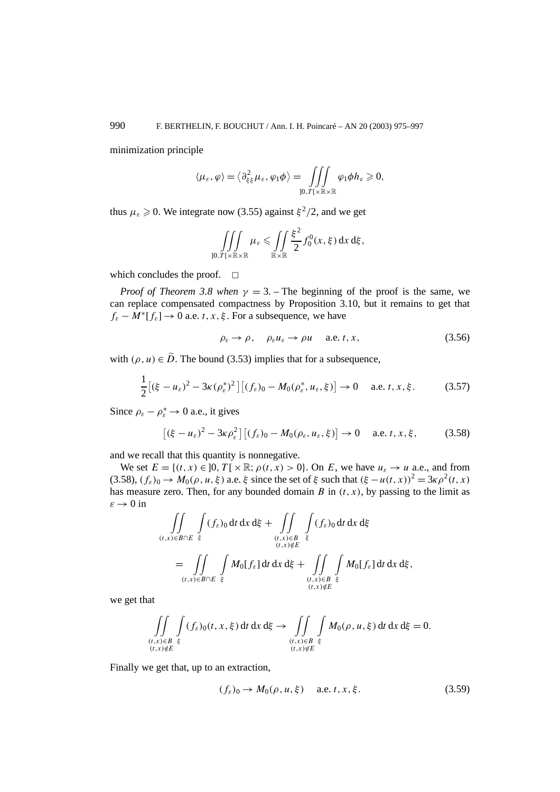minimization principle

$$
\langle \mu_{\varepsilon}, \varphi \rangle = \langle \partial_{\xi\xi}^2 \mu_{\varepsilon}, \varphi_1 \phi \rangle = \iiint_{]0,T[ \times \mathbb{R} \times \mathbb{R} } \varphi_1 \phi h_{\varepsilon} \geqslant 0,
$$

thus  $\mu_{\varepsilon} \geq 0$ . We integrate now (3.55) against  $\xi^2/2$ , and we get

$$
\iiint\limits_{]0,T[\times\mathbb{R}\times\mathbb{R}}\mu_{\varepsilon}\leqslant\iint\limits_{\mathbb{R}\times\mathbb{R}}\frac{\xi^2}{2}f_0^0(x,\xi)\,dx\,d\xi,
$$

which concludes the proof.  $\Box$ 

*Proof of Theorem 3.8 when*  $\gamma = 3$ . – The beginning of the proof is the same, we can replace compensated compactness by Proposition 3.10, but it remains to get that  $f_{\varepsilon} - M^*[f_{\varepsilon}] \to 0$  a.e. *t*, *x*, *ξ*. For a subsequence, we have

$$
\rho_{\varepsilon} \to \rho, \quad \rho_{\varepsilon} u_{\varepsilon} \to \rho u \quad \text{a.e. } t, x,
$$
\n(3.56)

with  $(\rho, u) \in \tilde{D}$ . The bound (3.53) implies that for a subsequence,

$$
\frac{1}{2}\left[ (\xi - u_{\varepsilon})^2 - 3\kappa (\rho_{\varepsilon}^*)^2 \right] \left[ (f_{\varepsilon})_0 - M_0(\rho_{\varepsilon}^*, u_{\varepsilon}, \xi) \right] \to 0 \quad \text{ a.e. } t, x, \xi. \tag{3.57}
$$

Since  $\rho_{\varepsilon} - \rho_{\varepsilon}^* \to 0$  a.e., it gives

$$
\left[ (\xi - u_{\varepsilon})^2 - 3\kappa \rho_{\varepsilon}^2 \right] \left[ (f_{\varepsilon})_0 - M_0(\rho_{\varepsilon}, u_{\varepsilon}, \xi) \right] \to 0 \quad \text{ a.e. } t, x, \xi,
$$
 (3.58)

and we recall that this quantity is nonnegative.

We set  $E = \{(t, x) \in ]0, T[ \times \mathbb{R}; \rho(t, x) > 0 \}$ . On *E*, we have  $u_{\varepsilon} \to u$  a.e., and from (3.58),  $(f_{\varepsilon})_0 \to M_0(\rho, u, \xi)$  a.e.  $\xi$  since the set of  $\xi$  such that  $(\xi - u(t, x))^2 = 3\kappa \rho^2(t, x)$ has measure zero. Then, for any bounded domain  $B$  in  $(t, x)$ , by passing to the limit as  $\varepsilon \to 0$  in

$$
\iint\limits_{(t,x)\in B\cap E}\int\limits_{\xi} (f_{\varepsilon})_0 dt dx d\xi + \iint\limits_{(t,x)\in B}\int\limits_{\xi} (f_{\varepsilon})_0 dt dx d\xi
$$

$$
= \iint\limits_{(t,x)\in B\cap E}\int\limits_{\xi} M_0[f_{\varepsilon}] dt dx d\xi + \iint\limits_{(t,x)\in B}\int\limits_{\xi} M_0[f_{\varepsilon}] dt dx d\xi,
$$

we get that

$$
\iint\limits_{\substack{(t,x)\in B\\(t,x)\notin E}}\int\limits_{\xi}(f_{\varepsilon})_0(t,x,\xi)\,dt\,dx\,d\xi\to\iint\limits_{\substack{(t,x)\in B\\(t,x)\notin E}}\int\limits_{\xi}M_0(\rho,u,\xi)\,dt\,dx\,d\xi=0.
$$

Finally we get that, up to an extraction,

$$
(f_{\varepsilon})_0 \to M_0(\rho, u, \xi) \quad \text{a.e. } t, x, \xi. \tag{3.59}
$$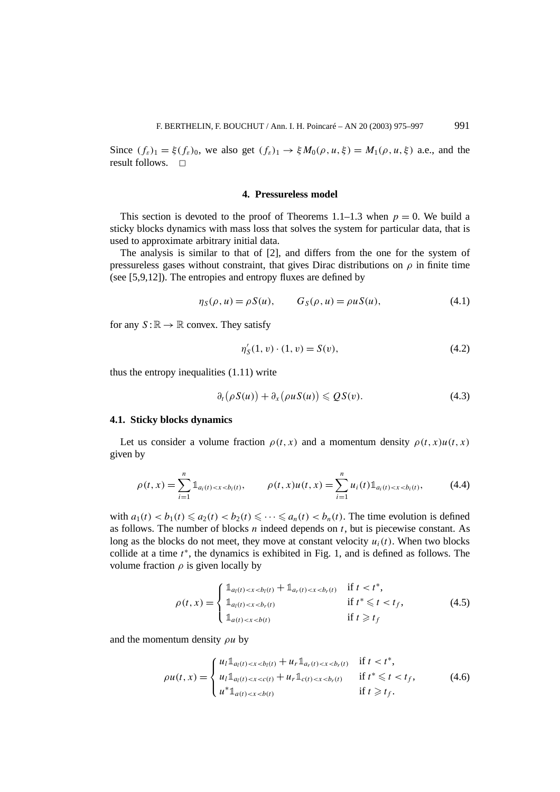Since  $(f_{\varepsilon})_1 = \xi(f_{\varepsilon})_0$ , we also get  $(f_{\varepsilon})_1 \to \xi M_0(\rho, u, \xi) = M_1(\rho, u, \xi)$  a.e., and the result follows.  $\Box$ 

# **4. Pressureless model**

This section is devoted to the proof of Theorems 1.1–1.3 when  $p = 0$ . We build a sticky blocks dynamics with mass loss that solves the system for particular data, that is used to approximate arbitrary initial data.

The analysis is similar to that of [2], and differs from the one for the system of pressureless gases without constraint, that gives Dirac distributions on  $\rho$  in finite time (see [5,9,12]). The entropies and entropy fluxes are defined by

$$
\eta_S(\rho, u) = \rho S(u), \qquad G_S(\rho, u) = \rho u S(u), \tag{4.1}
$$

for any  $S : \mathbb{R} \to \mathbb{R}$  convex. They satisfy

$$
\eta'_{S}(1, v) \cdot (1, v) = S(v),\tag{4.2}
$$

thus the entropy inequalities (1.11) write

$$
\partial_t (\rho S(u)) + \partial_x (\rho u S(u)) \leqslant Q S(v). \tag{4.3}
$$

#### **4.1. Sticky blocks dynamics**

Let us consider a volume fraction  $\rho(t, x)$  and a momentum density  $\rho(t, x)u(t, x)$ given by

$$
\rho(t,x) = \sum_{i=1}^{n} \mathbb{1}_{a_i(t) < x < b_i(t)}, \qquad \rho(t,x)u(t,x) = \sum_{i=1}^{n} u_i(t) \mathbb{1}_{a_i(t) < x < b_i(t)}, \tag{4.4}
$$

with  $a_1(t) < b_1(t) \le a_2(t) < b_2(t) \le \cdots \le a_n(t) < b_n(t)$ . The time evolution is defined as follows. The number of blocks *n* indeed depends on *t*, but is piecewise constant. As long as the blocks do not meet, they move at constant velocity  $u_i(t)$ . When two blocks collide at a time *t* <sup>∗</sup>, the dynamics is exhibited in Fig. 1, and is defined as follows. The volume fraction  $\rho$  is given locally by

$$
\rho(t,x) = \begin{cases} \mathbb{1}_{a_l(t) < x < b_l(t) + \mathbb{1}_{a_r(t) < x < b_r(t)} & \text{if } t < t^*, \\ \mathbb{1}_{a_l(t) < x < b_r(t)} & \text{if } t^* \leq t < t_f, \\ \mathbb{1}_{a_l(t) < x < b(t)} & \text{if } t \geq t_f \end{cases} \tag{4.5}
$$

and the momentum density *ρu* by

$$
\rho u(t,x) = \begin{cases} u_l \mathbb{1}_{a_l(t) < x < b_l(t) + u_r \mathbb{1}_{a_r(t) < x < b_r(t)} \quad \text{if } t < t^*, \\ u_l \mathbb{1}_{a_l(t) < x < c(t) + u_r \mathbb{1}_{c(t) < x < b_r(t)} \quad \text{if } t^* \leq t < t_f, \\ u^* \mathbb{1}_{a(t) < x < b(t)} & \text{if } t \geq t_f. \end{cases} \tag{4.6}
$$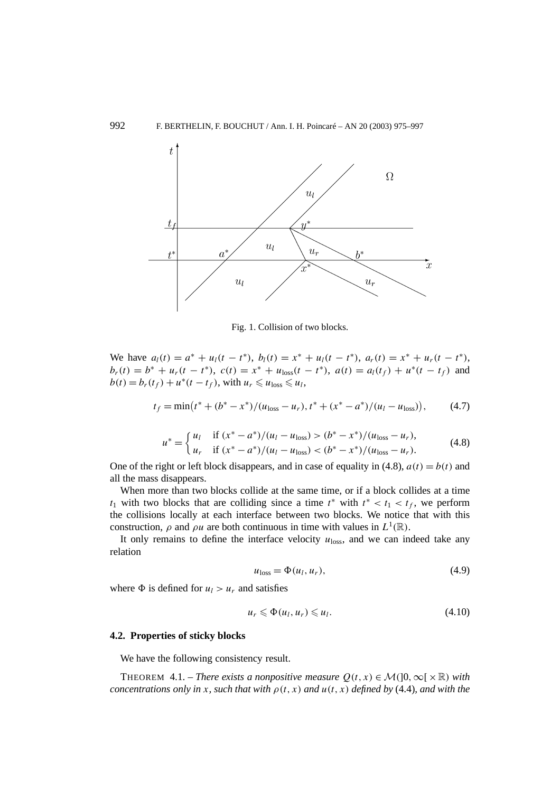

Fig. 1. Collision of two blocks.

We have  $a_l(t) = a^* + u_l(t - t^*)$ ,  $b_l(t) = x^* + u_l(t - t^*)$ ,  $a_r(t) = x^* + u_r(t - t^*)$ ,  $b_r(t) = b^* + u_r(t - t^*)$ ,  $c(t) = x^* + u_{\text{loss}}(t - t^*)$ ,  $a(t) = a_l(t_f) + u^*(t - t_f)$  and  $b(t) = b_r(t_f) + u^*(t - t_f)$ , with  $u_r \le u_{\text{loss}} \le u_l$ ,

$$
t_f = \min(t^* + (b^* - x^*)/(u_{\text{loss}} - u_r), t^* + (x^* - a^*)/(u_l - u_{\text{loss}})), \tag{4.7}
$$

$$
u^* = \begin{cases} u_l & \text{if } (x^* - a^*)/(u_l - u_{\text{loss}}) > (b^* - x^*)/(u_{\text{loss}} - u_r), \\ u_r & \text{if } (x^* - a^*)/(u_l - u_{\text{loss}}) < (b^* - x^*)/(u_{\text{loss}} - u_r). \end{cases}
$$
(4.8)

One of the right or left block disappears, and in case of equality in  $(4.8)$ ,  $a(t) = b(t)$  and all the mass disappears.

When more than two blocks collide at the same time, or if a block collides at a time  $t_1$  with two blocks that are colliding since a time  $t^*$  with  $t^* < t_1 < t_f$ , we perform the collisions locally at each interface between two blocks. We notice that with this construction,  $\rho$  and  $\rho u$  are both continuous in time with values in  $L^1(\mathbb{R})$ .

It only remains to define the interface velocity  $u_{\text{loss}}$ , and we can indeed take any relation

$$
u_{\text{loss}} = \Phi(u_l, u_r),\tag{4.9}
$$

where  $\Phi$  is defined for  $u_l > u_r$  and satisfies

$$
u_r \leqslant \Phi(u_l, u_r) \leqslant u_l. \tag{4.10}
$$

#### **4.2. Properties of sticky blocks**

We have the following consistency result.

THEOREM 4.1. – *There exists a nonpositive measure*  $Q(t, x) \in \mathcal{M}(]0, \infty[\times \mathbb{R})$  *with concentrations only in x, such that with*  $\rho(t, x)$  *and*  $u(t, x)$  *defined by* (4.4)*, and with the*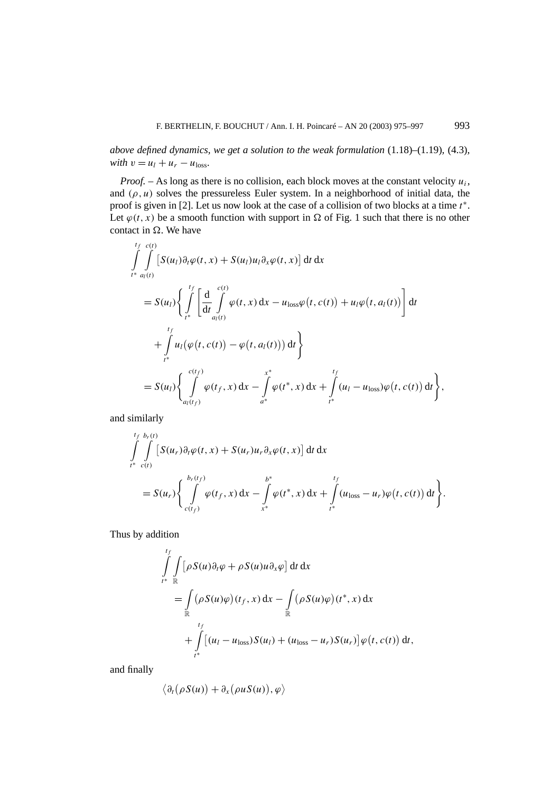*above defined dynamics, we get a solution to the weak formulation* (1.18)–(1.19)*,* (4.3)*, with*  $v = u_l + u_r - u_{loss}$ .

*Proof.* – As long as there is no collision, each block moves at the constant velocity  $u_i$ , and  $(\rho, u)$  solves the pressureless Euler system. In a neighborhood of initial data, the proof is given in [2]. Let us now look at the case of a collision of two blocks at a time *t* ∗. Let  $\varphi(t, x)$  be a smooth function with support in  $\Omega$  of Fig. 1 such that there is no other contact in  $\Omega$ . We have

$$
\int_{t^{*}}^{t_{f}} \int_{a_{l}(t)}^{c(t)} [S(u_{l})\partial_{t}\varphi(t,x) + S(u_{l})u_{l}\partial_{x}\varphi(t,x)] dt dx
$$
\n
$$
= S(u_{l}) \Biggl\{ \int_{t^{*}}^{t_{f}} \Biggl[ \frac{d}{dt} \int_{a_{l}(t)}^{c(t)} \varphi(t,x) dx - u_{loss}\varphi(t,c(t)) + u_{l}\varphi(t,a_{l}(t)) \Biggr] dt + \int_{t^{*}}^{t_{f}} u_{l}(\varphi(t,c(t)) - \varphi(t,a_{l}(t))) dt \Biggr\}
$$
\n
$$
= S(u_{l}) \Biggl\{ \int_{a_{l}(t_{f})}^{c(t_{f})} \varphi(t_{f},x) dx - \int_{a^{*}}^{x^{*}} \varphi(t^{*},x) dx + \int_{t^{*}}^{t_{f}} (u_{l} - u_{loss})\varphi(t,c(t)) dt \Biggr\},
$$

and similarly

$$
\int_{t^*}^{t_f} \int_{c(t)}^{b_r(t)} \left[ S(u_r) \partial_t \varphi(t, x) + S(u_r) u_r \partial_x \varphi(t, x) \right] dt dx
$$
  
= 
$$
S(u_r) \left\{ \int_{c(t_f)}^{b_r(t_f)} \varphi(t_f, x) dx - \int_{x^*}^{b^*} \varphi(t^*, x) dx + \int_{t^*}^{t_f} (u_{\text{loss}} - u_r) \varphi(t, c(t)) dt \right\}.
$$

Thus by addition

$$
\int_{t^*}^{t_f} \int_{\mathbb{R}} \left[ \rho S(u) \partial_t \varphi + \rho S(u) u \partial_x \varphi \right] dt dx
$$
\n
$$
= \int_{\mathbb{R}} (\rho S(u)\varphi)(t_f, x) dx - \int_{\mathbb{R}} (\rho S(u)\varphi)(t^*, x) dx
$$
\n
$$
+ \int_{t^*}^{t_f} \left[ (u_l - u_{\text{loss}}) S(u_l) + (u_{\text{loss}} - u_r) S(u_r) \right] \varphi(t, c(t)) dt,
$$

and finally

$$
\langle \partial_t (\rho S(u)) + \partial_x (\rho u S(u)), \varphi \rangle
$$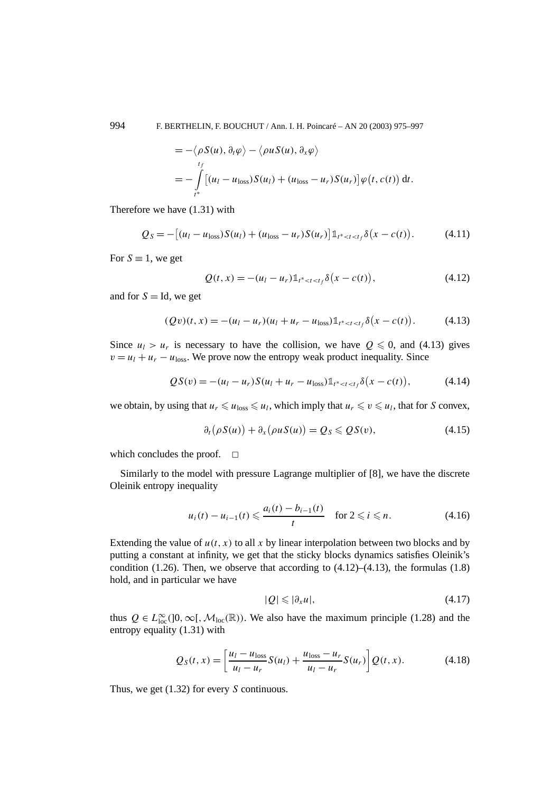$$
= -\langle \rho S(u), \partial_t \varphi \rangle - \langle \rho u S(u), \partial_x \varphi \rangle
$$
  
= 
$$
- \int_{t^*}^{t_f} [(u_l - u_{\text{loss}})S(u_l) + (u_{\text{loss}} - u_r)S(u_r)] \varphi(t, c(t)) dt.
$$

Therefore we have (1.31) with

$$
Q_S = -[(u_l - u_{loss})S(u_l) + (u_{loss} - u_r)S(u_r)]1_{t^* < t < t_f}\delta(x - c(t)).
$$
\n(4.11)

For  $S \equiv 1$ , we get

$$
Q(t,x) = -(u_l - u_r) \mathbb{1}_{t^* < t < t_f} \delta(x - c(t)),
$$
\n(4.12)

and for  $S = Id$ , we get

$$
(Qv)(t,x) = -(u_l - u_r)(u_l + u_r - u_{loss})1_{t^* < t < t_f} \delta(x - c(t)).
$$
\n(4.13)

Since  $u_1 > u_r$  is necessary to have the collision, we have  $0 \le 0$ , and (4.13) gives  $v = u_1 + u_r - u_{\text{loss}}$ . We prove now the entropy weak product inequality. Since

$$
QS(v) = -(u_l - u_r)S(u_l + u_r - u_{loss})1_{t^* < t < t_f} \delta(x - c(t)),
$$
\n(4.14)

we obtain, by using that  $u_r \leq u_{\text{loss}} \leq u_l$ , which imply that  $u_r \leq v \leq u_l$ , that for *S* convex,

$$
\partial_t (\rho S(u)) + \partial_x (\rho u S(u)) = Q_S \leqslant Q S(v), \qquad (4.15)
$$

which concludes the proof.  $\Box$ 

Similarly to the model with pressure Lagrange multiplier of [8], we have the discrete Oleinik entropy inequality

$$
u_i(t) - u_{i-1}(t) \leq \frac{a_i(t) - b_{i-1}(t)}{t}
$$
 for  $2 \leq i \leq n$ . (4.16)

Extending the value of  $u(t, x)$  to all x by linear interpolation between two blocks and by putting a constant at infinity, we get that the sticky blocks dynamics satisfies Oleinik's condition (1.26). Then, we observe that according to  $(4.12)$ – $(4.13)$ , the formulas (1.8) hold, and in particular we have

$$
|Q| \leq |\partial_x u|,\tag{4.17}
$$

thus  $Q \in L^{\infty}_{loc}([0,\infty[,\mathcal{M}_{loc}(\mathbb{R}))$ . We also have the maximum principle (1.28) and the entropy equality (1.31) with

$$
Q_S(t, x) = \left[\frac{u_l - u_{\text{loss}}}{u_l - u_r} S(u_l) + \frac{u_{\text{loss}} - u_r}{u_l - u_r} S(u_r)\right] Q(t, x).
$$
 (4.18)

Thus, we get (1.32) for every *S* continuous.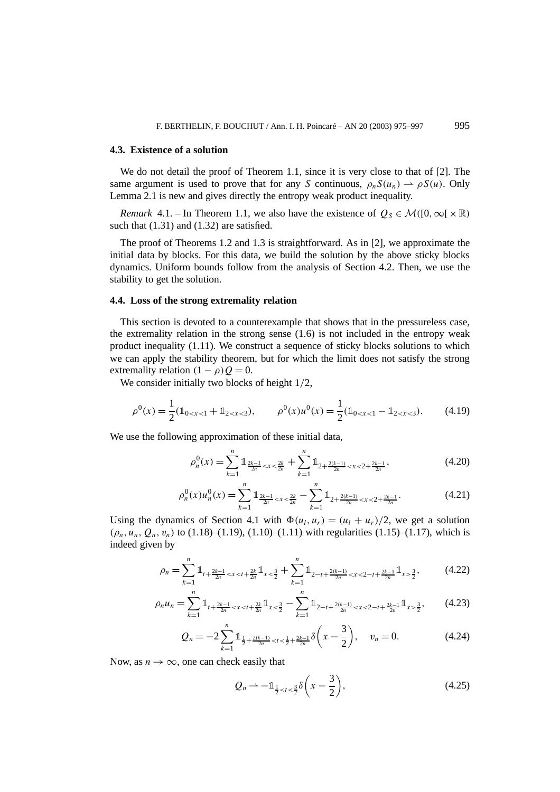#### **4.3. Existence of a solution**

We do not detail the proof of Theorem 1.1, since it is very close to that of [2]. The same argument is used to prove that for any *S* continuous,  $\rho_n S(u_n) \rightharpoonup \rho S(u)$ . Only Lemma 2.1 is new and gives directly the entropy weak product inequality.

*Remark* 4.1. – In Theorem 1.1, we also have the existence of  $Q_S \in \mathcal{M}([0, \infty[\times \mathbb{R})$ such that  $(1.31)$  and  $(1.32)$  are satisfied.

The proof of Theorems 1.2 and 1.3 is straightforward. As in [2], we approximate the initial data by blocks. For this data, we build the solution by the above sticky blocks dynamics. Uniform bounds follow from the analysis of Section 4.2. Then, we use the stability to get the solution.

### **4.4. Loss of the strong extremality relation**

This section is devoted to a counterexample that shows that in the pressureless case, the extremality relation in the strong sense (1.6) is not included in the entropy weak product inequality (1.11). We construct a sequence of sticky blocks solutions to which we can apply the stability theorem, but for which the limit does not satisfy the strong extremality relation  $(1 - \rho)Q = 0$ .

We consider initially two blocks of height 1*/*2,

$$
\rho^{0}(x) = \frac{1}{2}(\mathbb{1}_{0 < x < 1} + \mathbb{1}_{2 < x < 3}), \qquad \rho^{0}(x)u^{0}(x) = \frac{1}{2}(\mathbb{1}_{0 < x < 1} - \mathbb{1}_{2 < x < 3}). \tag{4.19}
$$

We use the following approximation of these initial data,

$$
\rho_n^0(x) = \sum_{k=1}^n \mathbb{1}_{\frac{2k-1}{2n} < x < \frac{2k}{2n}} + \sum_{k=1}^n \mathbb{1}_{2 + \frac{2(k-1)}{2n} < x < 2 + \frac{2k-1}{2n}},\tag{4.20}
$$

$$
\rho_n^0(x)u_n^0(x) = \sum_{k=1}^n \mathbb{1}_{\frac{2k-1}{2n} < x < \frac{2k}{2n}} - \sum_{k=1}^n \mathbb{1}_{2 + \frac{2(k-1)}{2n} < x < 2 + \frac{2k-1}{2n}}.\tag{4.21}
$$

Using the dynamics of Section 4.1 with  $\Phi(u_l, u_r) = (u_l + u_r)/2$ , we get a solution  $(\rho_n, u_n, Q_n, v_n)$  to (1.18)–(1.19), (1.10)–(1.11) with regularities (1.15)–(1.17), which is indeed given by

$$
\rho_n = \sum_{k=1}^n \mathbb{1}_{t + \frac{2k-1}{2n} < x < t + \frac{2k}{2n}} \mathbb{1}_{x < \frac{3}{2}} + \sum_{k=1}^n \mathbb{1}_{2-t + \frac{2(k-1)}{2n} < x < 2 - t + \frac{2k-1}{2n}} \mathbb{1}_{x > \frac{3}{2}},\tag{4.22}
$$

$$
\rho_n u_n = \sum_{k=1}^n \mathbb{1}_{t + \frac{2k-1}{2n} < x < t + \frac{2k}{2n}} \mathbb{1}_{x < \frac{3}{2}} - \sum_{k=1}^n \mathbb{1}_{2-t + \frac{2(k-1)}{2n} < x < 2 - t + \frac{2k-1}{2n}} \mathbb{1}_{x > \frac{3}{2}},\tag{4.23}
$$

$$
Q_n = -2\sum_{k=1}^n \mathbb{1}_{\frac{1}{2} + \frac{2(k-1)}{2n} < t < \frac{1}{2} + \frac{2k-1}{2n}} \delta\left(x - \frac{3}{2}\right), \quad v_n = 0. \tag{4.24}
$$

Now, as  $n \to \infty$ , one can check easily that

$$
Q_n \rightharpoonup -\mathbb{1}_{\frac{1}{2} < t < \frac{3}{2}} \delta\left(x - \frac{3}{2}\right),\tag{4.25}
$$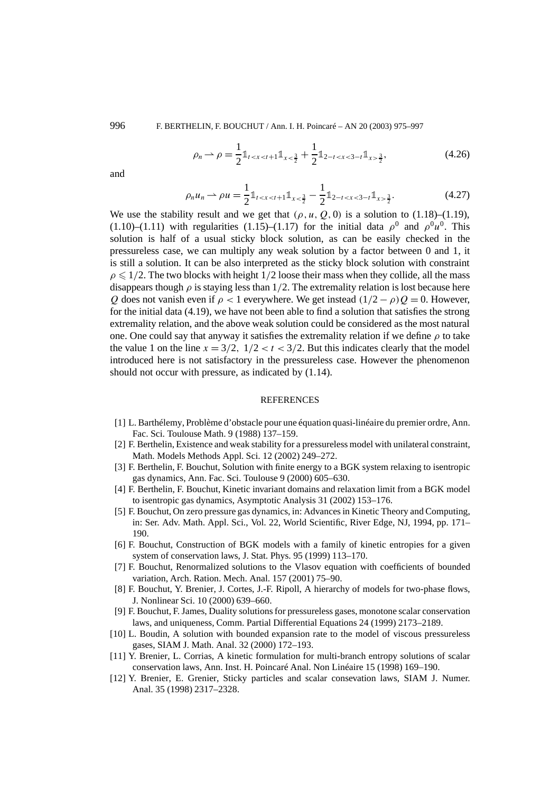$$
\rho_n \rightharpoonup \rho = \frac{1}{2} \mathbb{1}_{t < x < t+1} \mathbb{1}_{x < \frac{3}{2}} + \frac{1}{2} \mathbb{1}_{2-t < x < 3-t} \mathbb{1}_{x > \frac{3}{2}},\tag{4.26}
$$

and

$$
\rho_n u_n \rightharpoonup \rho u = \frac{1}{2} \mathbb{1}_{t < x < t+1} \mathbb{1}_{x < \frac{3}{2}} - \frac{1}{2} \mathbb{1}_{2-t < x < 3-t} \mathbb{1}_{x > \frac{3}{2}}.\tag{4.27}
$$

We use the stability result and we get that  $(\rho, u, Q, 0)$  is a solution to (1.18)–(1.19),  $(1.10)$ – $(1.11)$  with regularities  $(1.15)$ – $(1.17)$  for the initial data  $\rho^0$  and  $\rho^0 u^0$ . This solution is half of a usual sticky block solution, as can be easily checked in the pressureless case, we can multiply any weak solution by a factor between 0 and 1, it is still a solution. It can be also interpreted as the sticky block solution with constraint  $\rho \leq 1/2$ . The two blocks with height  $1/2$  loose their mass when they collide, all the mass disappears though  $\rho$  is staying less than 1/2. The extremality relation is lost because here *Q* does not vanish even if  $\rho < 1$  everywhere. We get instead  $(1/2 - \rho)Q = 0$ . However, for the initial data (4.19), we have not been able to find a solution that satisfies the strong extremality relation, and the above weak solution could be considered as the most natural one. One could say that anyway it satisfies the extremality relation if we define *ρ* to take the value 1 on the line  $x = 3/2$ ,  $1/2 < t < 3/2$ . But this indicates clearly that the model introduced here is not satisfactory in the pressureless case. However the phenomenon should not occur with pressure, as indicated by (1.14).

#### **REFERENCES**

- [1] L. Barthélemy, Problème d'obstacle pour une équation quasi-linéaire du premier ordre, Ann. Fac. Sci. Toulouse Math. 9 (1988) 137–159.
- [2] F. Berthelin, Existence and weak stability for a pressureless model with unilateral constraint, Math. Models Methods Appl. Sci. 12 (2002) 249–272.
- [3] F. Berthelin, F. Bouchut, Solution with finite energy to a BGK system relaxing to isentropic gas dynamics, Ann. Fac. Sci. Toulouse 9 (2000) 605–630.
- [4] F. Berthelin, F. Bouchut, Kinetic invariant domains and relaxation limit from a BGK model to isentropic gas dynamics, Asymptotic Analysis 31 (2002) 153–176.
- [5] F. Bouchut, On zero pressure gas dynamics, in: Advances in Kinetic Theory and Computing, in: Ser. Adv. Math. Appl. Sci., Vol. 22, World Scientific, River Edge, NJ, 1994, pp. 171– 190.
- [6] F. Bouchut, Construction of BGK models with a family of kinetic entropies for a given system of conservation laws, J. Stat. Phys. 95 (1999) 113–170.
- [7] F. Bouchut, Renormalized solutions to the Vlasov equation with coefficients of bounded variation, Arch. Ration. Mech. Anal. 157 (2001) 75–90.
- [8] F. Bouchut, Y. Brenier, J. Cortes, J.-F. Ripoll, A hierarchy of models for two-phase flows, J. Nonlinear Sci. 10 (2000) 639–660.
- [9] F. Bouchut, F. James, Duality solutions for pressureless gases, monotone scalar conservation laws, and uniqueness, Comm. Partial Differential Equations 24 (1999) 2173–2189.
- [10] L. Boudin, A solution with bounded expansion rate to the model of viscous pressureless gases, SIAM J. Math. Anal. 32 (2000) 172–193.
- [11] Y. Brenier, L. Corrias, A kinetic formulation for multi-branch entropy solutions of scalar conservation laws, Ann. Inst. H. Poincaré Anal. Non Linéaire 15 (1998) 169–190.
- [12] Y. Brenier, E. Grenier, Sticky particles and scalar consevation laws, SIAM J. Numer. Anal. 35 (1998) 2317–2328.